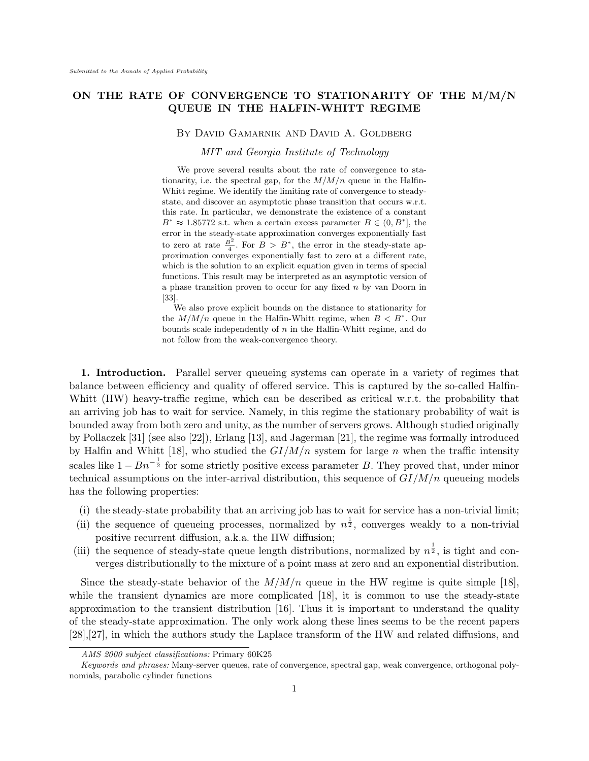# **ON THE RATE OF CONVERGENCE TO STATIONARITY OF THE M/M/N QUEUE IN THE HALFIN-WHITT REGIME**

# By David Gamarnik AND David A. Goldberg

*MIT and Georgia Institute of Technology*

We prove several results about the rate of convergence to stationarity, i.e. the spectral gap, for the  $M/M/n$  queue in the Halfin-Whitt regime. We identify the limiting rate of convergence to steadystate, and discover an asymptotic phase transition that occurs w.r.t. this rate. In particular, we demonstrate the existence of a constant  $B^* \approx 1.85772$  s.t. when a certain excess parameter  $B \in (0, B^*]$ , the error in the steady-state approximation converges exponentially fast to zero at rate  $\frac{B^2}{4}$ . For  $B > B^*$ , the error in the steady-state approximation converges exponentially fast to zero at a different rate, which is the solution to an explicit equation given in terms of special functions. This result may be interpreted as an asymptotic version of a phase transition proven to occur for any fixed *n* by van Doorn in [33].

We also prove explicit bounds on the distance to stationarity for the  $M/M/n$  queue in the Halfin-Whitt regime, when  $B < B^*$ . Our bounds scale independently of *n* in the Halfin-Whitt regime, and do not follow from the weak-convergence theory.

**1. Introduction.** Parallel server queueing systems can operate in a variety of regimes that balance between efficiency and quality of offered service. This is captured by the so-called Halfin-Whitt (HW) heavy-traffic regime, which can be described as critical w.r.t. the probability that an arriving job has to wait for service. Namely, in this regime the stationary probability of wait is bounded away from both zero and unity, as the number of servers grows. Although studied originally by Pollaczek [31] (see also [22]), Erlang [13], and Jagerman [21], the regime was formally introduced by Halfin and Whitt [18], who studied the *GI/M/n* system for large *n* when the traffic intensity scales like  $1 - Bn^{-\frac{1}{2}}$  for some strictly positive excess parameter *B*. They proved that, under minor technical assumptions on the inter-arrival distribution, this sequence of *GI/M/n* queueing models has the following properties:

- (i) the steady-state probability that an arriving job has to wait for service has a non-trivial limit;
- (ii) the sequence of queueing processes, normalized by  $n^{\frac{1}{2}}$ , converges weakly to a non-trivial positive recurrent diffusion, a.k.a. the HW diffusion;
- (iii) the sequence of steady-state queue length distributions, normalized by  $n^{\frac{1}{2}}$ , is tight and converges distributionally to the mixture of a point mass at zero and an exponential distribution.

Since the steady-state behavior of the  $M/M/n$  queue in the HW regime is quite simple [18]. while the transient dynamics are more complicated [18], it is common to use the steady-state approximation to the transient distribution [16]. Thus it is important to understand the quality of the steady-state approximation. The only work along these lines seems to be the recent papers [28],[27], in which the authors study the Laplace transform of the HW and related diffusions, and

*AMS 2000 subject classifications:* Primary 60K25

*Keywords and phrases:* Many-server queues, rate of convergence, spectral gap, weak convergence, orthogonal polynomials, parabolic cylinder functions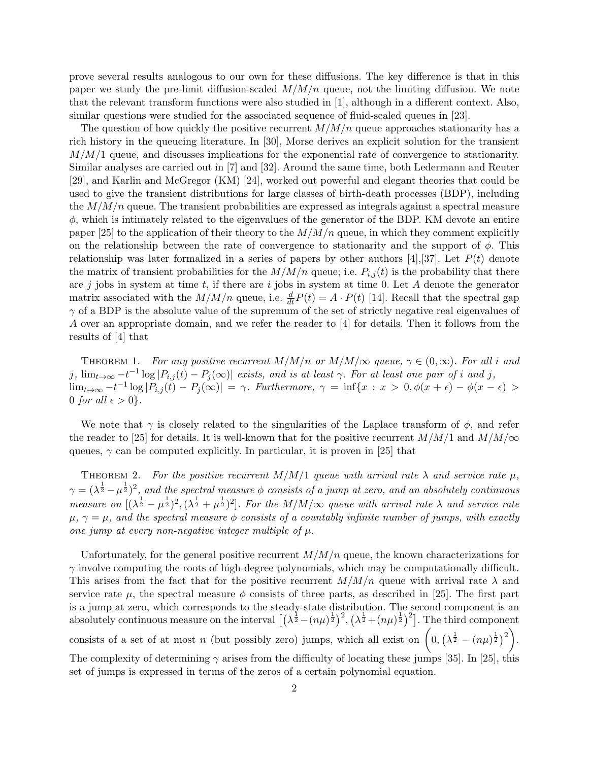prove several results analogous to our own for these diffusions. The key difference is that in this paper we study the pre-limit diffusion-scaled *M/M/n* queue, not the limiting diffusion. We note that the relevant transform functions were also studied in [1], although in a different context. Also, similar questions were studied for the associated sequence of fluid-scaled queues in [23].

The question of how quickly the positive recurrent  $M/M/n$  queue approaches stationarity has a rich history in the queueing literature. In [30], Morse derives an explicit solution for the transient *M/M/*1 queue, and discusses implications for the exponential rate of convergence to stationarity. Similar analyses are carried out in [7] and [32]. Around the same time, both Ledermann and Reuter [29], and Karlin and McGregor (KM) [24], worked out powerful and elegant theories that could be used to give the transient distributions for large classes of birth-death processes (BDP), including the *M/M/n* queue. The transient probabilities are expressed as integrals against a spectral measure *ϕ*, which is intimately related to the eigenvalues of the generator of the BDP. KM devote an entire paper [25] to the application of their theory to the *M/M/n* queue, in which they comment explicitly on the relationship between the rate of convergence to stationarity and the support of *ϕ*. This relationship was later formalized in a series of papers by other authors [4],[37]. Let  $P(t)$  denote the matrix of transient probabilities for the  $M/M/n$  queue; i.e.  $P_{i,j}(t)$  is the probability that there are *j* jobs in system at time *t*, if there are *i* jobs in system at time 0. Let *A* denote the generator matrix associated with the  $M/M/n$  queue, i.e.  $\frac{d}{dt}P(t) = A \cdot P(t)$  [14]. Recall that the spectral gap *γ* of a BDP is the absolute value of the supremum of the set of strictly negative real eigenvalues of *A* over an appropriate domain, and we refer the reader to [4] for details. Then it follows from the results of [4] that

THEOREM 1. For any positive recurrent  $M/M/n$  or  $M/M/\infty$  queue,  $\gamma \in (0,\infty)$ . For all *i* and j,  $\lim_{t\to\infty} -t^{-1}\log|P_{i,j}(t)-P_j(\infty)|$  exists, and is at least  $\gamma$ . For at least one pair of i and j,  $\lim_{t\to\infty} -t^{-1}\log|P_{i,j}(t)-P_j(\infty)| = \gamma$ . Furthermore,  $\gamma = \inf\{x : x > 0, \phi(x+\epsilon) - \phi(x-\epsilon) >$ 0 *for all*  $\epsilon > 0$ .

We note that  $\gamma$  is closely related to the singularities of the Laplace transform of  $\phi$ , and refer the reader to [25] for details. It is well-known that for the positive recurrent  $M/M/1$  and  $M/M/\infty$ queues,  $\gamma$  can be computed explicitly. In particular, it is proven in [25] that

THEOREM 2. For the positive recurrent  $M/M/1$  queue with arrival rate  $\lambda$  and service rate  $\mu$ ,  $\gamma = (\lambda^{\frac{1}{2}} - \mu^{\frac{1}{2}})^2$ , and the spectral measure  $\phi$  consists of a jump at zero, and an absolutely continuous *measure on*  $[(\lambda^{\frac{1}{2}} - \mu^{\frac{1}{2}})^2, (\lambda^{\frac{1}{2}} + \mu^{\frac{1}{2}})^2]$ . For the M/M/ $\infty$  queue with arrival rate  $\lambda$  and service rate  $\mu$ ,  $\gamma = \mu$ , and the spectral measure  $\phi$  consists of a countably infinite number of jumps, with exactly *one jump at every non-negative integer multiple of µ.*

Unfortunately, for the general positive recurrent *M/M/n* queue, the known characterizations for *γ* involve computing the roots of high-degree polynomials, which may be computationally difficult. This arises from the fact that for the positive recurrent  $M/M/n$  queue with arrival rate  $\lambda$  and service rate  $\mu$ , the spectral measure  $\phi$  consists of three parts, as described in [25]. The first part is a jump at zero, which corresponds to the steady-state distribution. The second component is an absolutely continuous measure on the interval  $\left[ (\lambda^{\frac{1}{2}} - (n\mu)^{\frac{1}{2}})^2, (\lambda^{\frac{1}{2}} + (n\mu)^{\frac{1}{2}})^2 \right]$ . The third component consists of a set of at most *n* (but possibly zero) jumps, which all exist on  $\left(0, (\lambda^{\frac{1}{2}} - (n\mu)^{\frac{1}{2}})^2\right)$ . The complexity of determining *γ* arises from the difficulty of locating these jumps [35]. In [25], this set of jumps is expressed in terms of the zeros of a certain polynomial equation.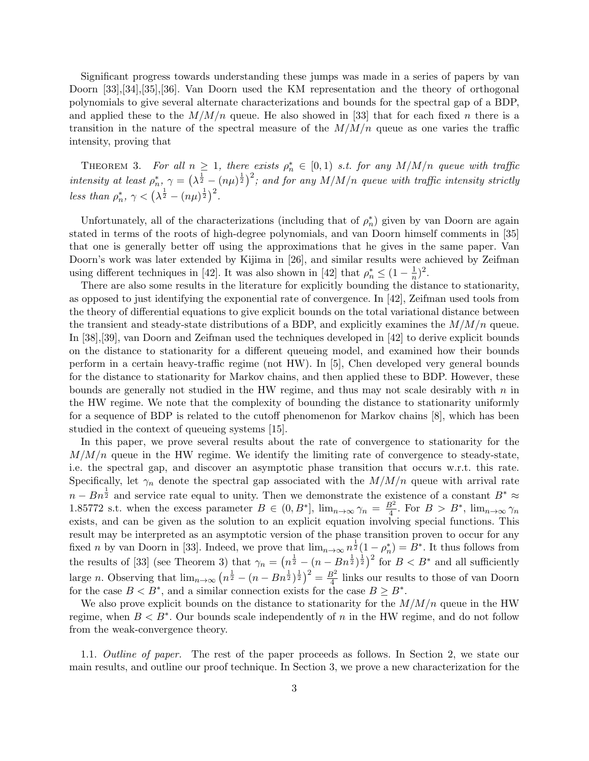Significant progress towards understanding these jumps was made in a series of papers by van Doorn [33],[34],[35],[36]. Van Doorn used the KM representation and the theory of orthogonal polynomials to give several alternate characterizations and bounds for the spectral gap of a BDP, and applied these to the  $M/M/n$  queue. He also showed in [33] that for each fixed *n* there is a transition in the nature of the spectral measure of the  $M/M/n$  queue as one varies the traffic intensity, proving that

THEOREM 3. For all  $n \geq 1$ , there exists  $\rho_n^* \in [0,1)$  s.t. for any  $M/M/n$  queue with traffic *intensity at least*  $\rho_n^*, \gamma = (\lambda^{\frac{1}{2}} - (n\mu)^{\frac{1}{2}})^2$ ; and for any  $M/M/n$  queue with traffic intensity strictly *less than*  $\rho_n^*, \gamma < (\lambda^{\frac{1}{2}} - (n\mu)^{\frac{1}{2}})^2$ .

Unfortunately, all of the characterizations (including that of  $\rho_n^*$ ) given by van Doorn are again stated in terms of the roots of high-degree polynomials, and van Doorn himself comments in [35] that one is generally better off using the approximations that he gives in the same paper. Van Doorn's work was later extended by Kijima in [26], and similar results were achieved by Zeifman using different techniques in [42]. It was also shown in [42] that  $\rho_n^* \leq (1 - \frac{1}{n})$  $(\frac{1}{n})^2$ .

There are also some results in the literature for explicitly bounding the distance to stationarity, as opposed to just identifying the exponential rate of convergence. In [42], Zeifman used tools from the theory of differential equations to give explicit bounds on the total variational distance between the transient and steady-state distributions of a BDP, and explicitly examines the *M/M/n* queue. In [38],[39], van Doorn and Zeifman used the techniques developed in [42] to derive explicit bounds on the distance to stationarity for a different queueing model, and examined how their bounds perform in a certain heavy-traffic regime (not HW). In [5], Chen developed very general bounds for the distance to stationarity for Markov chains, and then applied these to BDP. However, these bounds are generally not studied in the HW regime, and thus may not scale desirably with *n* in the HW regime. We note that the complexity of bounding the distance to stationarity uniformly for a sequence of BDP is related to the cutoff phenomenon for Markov chains [8], which has been studied in the context of queueing systems [15].

In this paper, we prove several results about the rate of convergence to stationarity for the  $M/M/n$  queue in the HW regime. We identify the limiting rate of convergence to steady-state, i.e. the spectral gap, and discover an asymptotic phase transition that occurs w.r.t. this rate. Specifically, let  $\gamma_n$  denote the spectral gap associated with the  $M/M/n$  queue with arrival rate *n* −  $Bn^{\frac{1}{2}}$  and service rate equal to unity. Then we demonstrate the existence of a constant  $B^* \approx$ 1.85772 s.t. when the excess parameter  $B \in (0, B^*]$ ,  $\lim_{n\to\infty} \gamma_n = \frac{B^2}{4}$  $\frac{3^2}{4}$ . For  $B > B^*$ ,  $\lim_{n \to \infty} \gamma_n$ exists, and can be given as the solution to an explicit equation involving special functions. This result may be interpreted as an asymptotic version of the phase transition proven to occur for any fixed *n* by van Doorn in [33]. Indeed, we prove that  $\lim_{n\to\infty} n^{\frac{1}{2}}(1-\rho_n^*)=B^*$ . It thus follows from the results of [33] (see Theorem 3) that  $\gamma_n = \left(n^{\frac{1}{2}} - (n - Bn^{\frac{1}{2}})^{\frac{1}{2}}\right)^2$  for  $B < B^*$  and all sufficiently large *n*. Observing that  $\lim_{n\to\infty} (n^{\frac{1}{2}} - (n - Bn^{\frac{1}{2}})^{\frac{1}{2}})^2 = \frac{B^2}{4}$  $\frac{3^2}{4}$  links our results to those of van Doorn for the case  $B < B^*$ , and a similar connection exists for the case  $B \ge B^*$ .

We also prove explicit bounds on the distance to stationarity for the *M/M/n* queue in the HW regime, when *B < B∗* . Our bounds scale independently of *n* in the HW regime, and do not follow from the weak-convergence theory.

1.1. *Outline of paper.* The rest of the paper proceeds as follows. In Section 2, we state our main results, and outline our proof technique. In Section 3, we prove a new characterization for the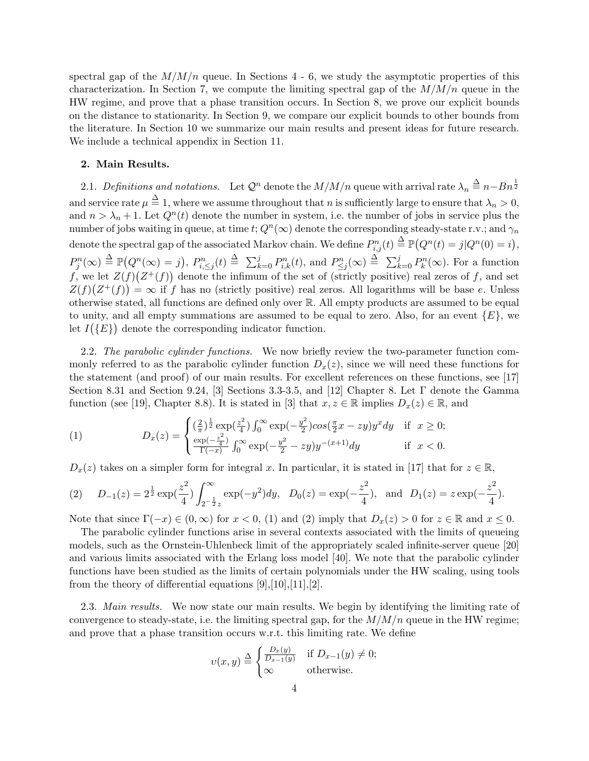spectral gap of the  $M/M/n$  queue. In Sections  $4 - 6$ , we study the asymptotic properties of this characterization. In Section 7, we compute the limiting spectral gap of the *M/M/n* queue in the HW regime, and prove that a phase transition occurs. In Section 8, we prove our explicit bounds on the distance to stationarity. In Section 9, we compare our explicit bounds to other bounds from the literature. In Section 10 we summarize our main results and present ideas for future research. We include a technical appendix in Section 11.

## **2. Main Results.**

2.1. *Definitions and notations.* Let  $\mathcal{Q}^n$  denote the  $M/M/n$  queue with arrival rate  $\lambda_n \stackrel{\Delta}{=} n-Bn^{\frac{1}{2}}$ and service rate  $\mu \stackrel{\Delta}{=} 1$ , where we assume throughout that *n* is sufficiently large to ensure that  $\lambda_n > 0$ , and  $n > \lambda_n + 1$ . Let  $Q^n(t)$  denote the number in system, i.e. the number of jobs in service plus the number of jobs waiting in queue, at time  $t$ ;  $Q^n(\infty)$  denote the corresponding steady-state r.v.; and  $\gamma_n$ denote the spectral gap of the associated Markov chain. We define  $P_{i,j}^n(t) \stackrel{\Delta}{=} \mathbb{P}\big(Q^n(t) = j \vert Q^n(0) = i\big),$  $P_j^n(\infty) \stackrel{\Delta}{=} \mathbb{P}(Q^n(\infty) = j)$ ,  $P_{i,\leq j}^n(t) \stackrel{\Delta}{=} \sum_{k=0}^j P_{i,k}^n(t)$ , and  $P_{\leq j}^n(\infty) \stackrel{\Delta}{=} \sum_{k=0}^j P_k^n(\infty)$ . For a function f, we let  $Z(f)(Z^+(f))$  denote the infimum of the set of (strictly positive) real zeros of f, and set  $Z(f)(Z^+(f)) = \infty$  if *f* has no (strictly positive) real zeros. All logarithms will be base *e*. Unless otherwise stated, all functions are defined only over R. All empty products are assumed to be equal to unity, and all empty summations are assumed to be equal to zero. Also, for an event  ${E}$ , we let  $I(\lbrace E \rbrace)$  denote the corresponding indicator function.

2.2. *The parabolic cylinder functions.* We now briefly review the two-parameter function commonly referred to as the parabolic cylinder function  $D_x(z)$ , since we will need these functions for the statement (and proof) of our main results. For excellent references on these functions, see [17] Section 8.31 and Section 9.24, [3] Sections 3.3-3.5, and [12] Chapter 8. Let Γ denote the Gamma function (see [19], Chapter 8.8). It is stated in [3] that  $x, z \in \mathbb{R}$  implies  $D_x(z) \in \mathbb{R}$ , and

(1) 
$$
D_x(z) = \begin{cases} \left(\frac{2}{\pi}\right)^{\frac{1}{2}} \exp\left(\frac{z^2}{4}\right) \int_0^\infty \exp\left(-\frac{y^2}{2}\right) \cos\left(\frac{\pi}{2}x - zy\right) y^x dy & \text{if } x \ge 0; \\ \frac{\exp\left(-\frac{z^2}{4}\right)}{\Gamma(-x)} \int_0^\infty \exp\left(-\frac{y^2}{2} - zy\right) y^{-(x+1)} dy & \text{if } x < 0. \end{cases}
$$

 $D_x(z)$  takes on a simpler form for integral *x*. In particular, it is stated in [17] that for  $z \in \mathbb{R}$ ,

(2) 
$$
D_{-1}(z) = 2^{\frac{1}{2}} \exp(\frac{z^2}{4}) \int_{2^{-\frac{1}{2}}z}^{\infty} \exp(-y^2) dy
$$
,  $D_0(z) = \exp(-\frac{z^2}{4})$ , and  $D_1(z) = z \exp(-\frac{z^2}{4})$ .

Note that since  $\Gamma(-x) \in (0, \infty)$  for  $x < 0$ , (1) and (2) imply that  $D_x(z) > 0$  for  $z \in \mathbb{R}$  and  $x \leq 0$ .

The parabolic cylinder functions arise in several contexts associated with the limits of queueing models, such as the Ornstein-Uhlenbeck limit of the appropriately scaled infinite-server queue [20] and various limits associated with the Erlang loss model [40]. We note that the parabolic cylinder functions have been studied as the limits of certain polynomials under the HW scaling, using tools from the theory of differential equations  $[9], [10], [11], [2]$ .

2.3. *Main results.* We now state our main results. We begin by identifying the limiting rate of convergence to steady-state, i.e. the limiting spectral gap, for the *M/M/n* queue in the HW regime; and prove that a phase transition occurs w.r.t. this limiting rate. We define

$$
\upsilon(x,y) \stackrel{\Delta}{=} \begin{cases} \frac{D_x(y)}{D_{x-1}(y)} & \text{if } D_{x-1}(y) \neq 0; \\ \infty & \text{otherwise.} \end{cases}
$$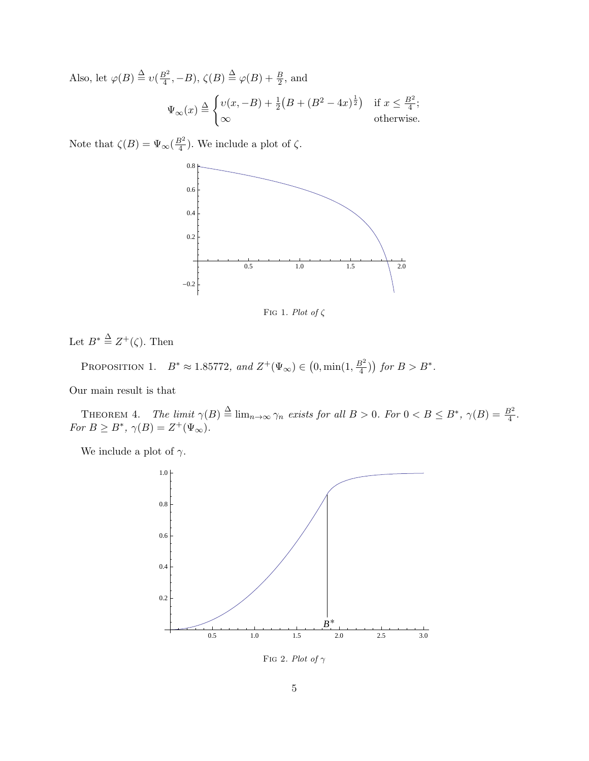Also, let  $\varphi(B) \stackrel{\Delta}{=} v(\frac{B^2}{4})$  $\frac{3^2}{4}$ , *−B*),  $\zeta(B) \stackrel{\Delta}{=} \varphi(B) + \frac{B}{2}$ , and  $\Psi_{\infty}(x) \stackrel{\Delta}{=}$  $\int v(x, -B) + \frac{1}{2} (B + (B^2 - 4x)^{\frac{1}{2}})$  if  $x \leq \frac{B^2}{4}$  $\frac{3^2}{4}$ ; *∞* otherwise.

Note that  $\zeta(B) = \Psi_{\infty}(\frac{B^2}{4})$  $\frac{3^2}{4}$ ). We include a plot of  $\zeta$ .



Fig 1*. Plot of ζ*

Let  $B^* \stackrel{\Delta}{=} Z^+(\zeta)$ . Then

PROPOSITION 1.  $B^* \approx 1.85772$ *, and*  $Z^+(\Psi_\infty) \in (0, \min(1, \frac{B^2}{4}))$  $\left(\frac{3^2}{4}\right)$  *for*  $B > B^*$ .

Our main result is that

THEOREM 4. *The limit*  $\gamma(B) \triangleq \lim_{n \to \infty} \gamma_n$  exists for all  $B > 0$ . For  $0 < B \le B^*$ ,  $\gamma(B) = \frac{B^2}{4}$ .  $For B \geq B^*, \ \gamma(B) = Z^+(\Psi_\infty).$ 

We include a plot of  $\gamma$ .



Fig 2*. Plot of γ*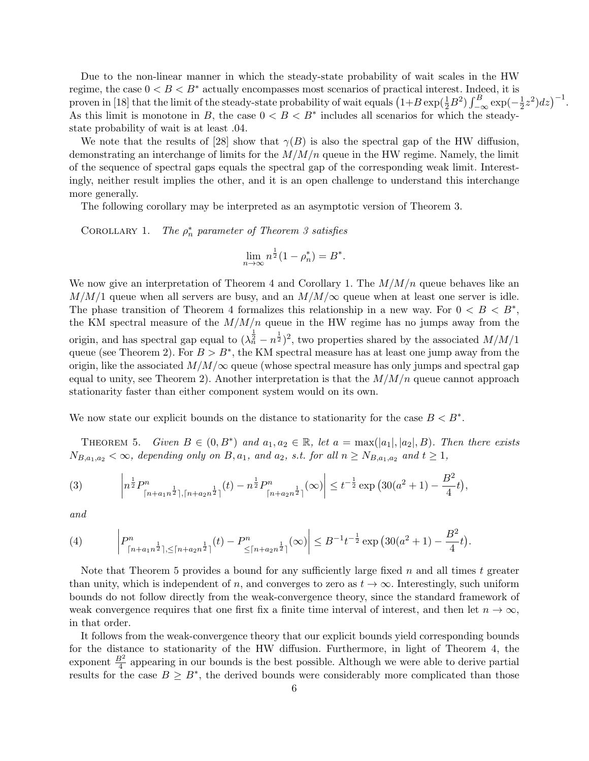Due to the non-linear manner in which the steady-state probability of wait scales in the HW regime, the case  $0 < B < B^*$  actually encompasses most scenarios of practical interest. Indeed, it is proven in [18] that the limit of the steady-state probability of wait equals  $(1+B \exp(\frac{1}{2}B^2)) \int_{-\infty}^{B} \exp(-\frac{1}{2}B^2)$  $(\frac{1}{2}z^2)dz$ <sup> $-1$ </sup>. As this limit is monotone in *B*, the case  $0 < B < B^*$  includes all scenarios for which the steadystate probability of wait is at least *.*04.

We note that the results of [28] show that  $\gamma(B)$  is also the spectral gap of the HW diffusion, demonstrating an interchange of limits for the *M/M/n* queue in the HW regime. Namely, the limit of the sequence of spectral gaps equals the spectral gap of the corresponding weak limit. Interestingly, neither result implies the other, and it is an open challenge to understand this interchange more generally.

The following corollary may be interpreted as an asymptotic version of Theorem 3.

COROLLARY 1. *∗ <sup>n</sup> parameter of Theorem 3 satisfies*

$$
\lim_{n \to \infty} n^{\frac{1}{2}} (1 - \rho_n^*) = B^*.
$$

We now give an interpretation of Theorem 4 and Corollary 1. The *M/M/n* queue behaves like an  $M/M/1$  queue when all servers are busy, and an  $M/M/\infty$  queue when at least one server is idle. The phase transition of Theorem 4 formalizes this relationship in a new way. For  $0 < B < B^*$ , the KM spectral measure of the  $M/M/n$  queue in the HW regime has no jumps away from the origin, and has spectral gap equal to  $(\lambda_n^{\frac{1}{2}} - n^{\frac{1}{2}})^2$ , two properties shared by the associated  $M/M/1$ queue (see Theorem 2). For  $B > B^*$ , the KM spectral measure has at least one jump away from the origin, like the associated  $M/M/\infty$  queue (whose spectral measure has only jumps and spectral gap equal to unity, see Theorem 2). Another interpretation is that the  $M/M/n$  queue cannot approach stationarity faster than either component system would on its own.

We now state our explicit bounds on the distance to stationarity for the case  $B < B^*$ .

THEOREM 5. Given  $B \in (0, B^*)$  and  $a_1, a_2 \in \mathbb{R}$ , let  $a = \max(|a_1|, |a_2|, B)$ . Then there exists  $N_{B,a_1,a_2} < \infty$ , depending only on  $B, a_1$ , and  $a_2$ , s.t. for all  $n \ge N_{B,a_1,a_2}$  and  $t \ge 1$ ,

(3) 
$$
\left| n^{\frac{1}{2}} P^{n}_{\lceil n+a_1n^{\frac{1}{2}} \rceil, \lceil n+a_2n^{\frac{1}{2}} \rceil}(t) - n^{\frac{1}{2}} P^{n}_{\lceil n+a_2n^{\frac{1}{2}} \rceil}(\infty) \right| \leq t^{-\frac{1}{2}} \exp\left(30(a^2+1) - \frac{B^2}{4}t\right),
$$

*and*

(4) 
$$
\left| P_{\lceil n+a_1n^{\frac{1}{2}} \rceil, \leq \lceil n+a_2n^{\frac{1}{2}} \rceil}(t) - P_{\leq \lceil n+a_2n^{\frac{1}{2}} \rceil}^n(\infty) \right| \leq B^{-1}t^{-\frac{1}{2}} \exp\left(30(a^2+1) - \frac{B^2}{4}t\right).
$$

Note that Theorem 5 provides a bound for any sufficiently large fixed *n* and all times *t* greater than unity, which is independent of *n*, and converges to zero as  $t \to \infty$ . Interestingly, such uniform bounds do not follow directly from the weak-convergence theory, since the standard framework of weak convergence requires that one first fix a finite time interval of interest, and then let  $n \to \infty$ , in that order.

It follows from the weak-convergence theory that our explicit bounds yield corresponding bounds for the distance to stationarity of the HW diffusion. Furthermore, in light of Theorem 4, the exponent  $\frac{B^2}{4}$  appearing in our bounds is the best possible. Although we were able to derive partial results for the case  $B \geq B^*$ , the derived bounds were considerably more complicated than those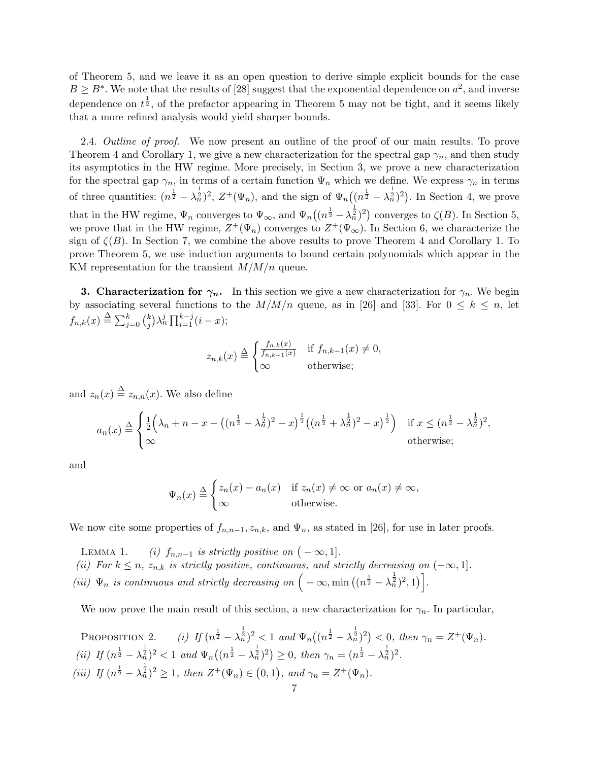of Theorem 5, and we leave it as an open question to derive simple explicit bounds for the case  $B \geq B^*$ . We note that the results of [28] suggest that the exponential dependence on  $a^2$ , and inverse dependence on  $t^{\frac{1}{2}}$ , of the prefactor appearing in Theorem 5 may not be tight, and it seems likely that a more refined analysis would yield sharper bounds.

2.4. *Outline of proof.* We now present an outline of the proof of our main results. To prove Theorem 4 and Corollary 1, we give a new characterization for the spectral gap  $\gamma_n$ , and then study its asymptotics in the HW regime. More precisely, in Section 3, we prove a new characterization for the spectral gap  $\gamma_n$ , in terms of a certain function  $\Psi_n$  which we define. We express  $\gamma_n$  in terms of three quantities:  $(n^{\frac{1}{2}} - \lambda_n^{\frac{1}{2}})^2$ ,  $Z^+(\Psi_n)$ , and the sign of  $\Psi_n((n^{\frac{1}{2}} - \lambda_n^{\frac{1}{2}})^2)$ . In Section 4, we prove that in the HW regime,  $\Psi_n$  converges to  $\Psi_{\infty}$ , and  $\Psi_n((n^{\frac{1}{2}} - \lambda_n^{\frac{1}{2}})^2)$  converges to  $\zeta(B)$ . In Section 5, we prove that in the HW regime,  $Z^+(\Psi_n)$  converges to  $Z^+(\Psi_\infty)$ . In Section 6, we characterize the sign of  $\zeta(B)$ . In Section 7, we combine the above results to prove Theorem 4 and Corollary 1. To prove Theorem 5, we use induction arguments to bound certain polynomials which appear in the KM representation for the transient *M/M/n* queue.

**3. Characterization for**  $\gamma_n$ **.** In this section we give a new characterization for  $\gamma_n$ . We begin by associating several functions to the  $M/M/n$  queue, as in [26] and [33]. For  $0 \leq k \leq n$ , let  $f_{n,k}(x) \triangleq \sum_{j=0}^{k} {k \choose j}$  $\sum_{j=1}^{k} \lambda_n^j \prod_{i=1}^{k-j} (i - x);$ 

$$
z_{n,k}(x) \stackrel{\Delta}{=} \begin{cases} \frac{f_{n,k}(x)}{f_{n,k-1}(x)} & \text{if } f_{n,k-1}(x) \neq 0, \\ \infty & \text{otherwise}; \end{cases}
$$

and  $z_n(x) \stackrel{\Delta}{=} z_{n,n}(x)$ . We also define

$$
a_n(x) \stackrel{\Delta}{=} \begin{cases} \frac{1}{2} \left( \lambda_n + n - x - \left( (n^{\frac{1}{2}} - \lambda_n^{\frac{1}{2}})^2 - x \right)^{\frac{1}{2}} \left( (n^{\frac{1}{2}} + \lambda_n^{\frac{1}{2}})^2 - x \right)^{\frac{1}{2}} \right) & \text{if } x \leq (n^{\frac{1}{2}} - \lambda_n^{\frac{1}{2}})^2, \\ \infty & \text{otherwise}; \end{cases}
$$

and

$$
\Psi_n(x) \stackrel{\Delta}{=} \begin{cases} z_n(x) - a_n(x) & \text{if } z_n(x) \neq \infty \text{ or } a_n(x) \neq \infty, \\ \infty & \text{otherwise.} \end{cases}
$$

We now cite some properties of  $f_{n,n-1}, z_{n,k}$ , and  $\Psi_n$ , as stated in [26], for use in later proofs.

LEMMA 1. *(i)*  $f_{n,n-1}$  *is strictly positive on*  $(-\infty,1]$ *. (ii)* For  $k \leq n$ ,  $z_{n,k}$  is strictly positive, continuous, and strictly decreasing on  $(-\infty, 1]$ *. (iii)*  $\Psi_n$  *is continuous and strictly decreasing on*  $\left(-\infty, \min\left((n^{\frac{1}{2}} - \lambda_n^{\frac{1}{2}})^2, 1\right)\right]$ .

We now prove the main result of this section, a new characterization for  $\gamma_n$ . In particular,

PROPOSITION 2. (i) If 
$$
(n^{\frac{1}{2}} - \lambda_n^{\frac{1}{2}})^2 < 1
$$
 and  $\Psi_n((n^{\frac{1}{2}} - \lambda_n^{\frac{1}{2}})^2) < 0$ , then  $\gamma_n = Z^+(\Psi_n)$ .  
\n(ii) If  $(n^{\frac{1}{2}} - \lambda_n^{\frac{1}{2}})^2 < 1$  and  $\Psi_n((n^{\frac{1}{2}} - \lambda_n^{\frac{1}{2}})^2) \ge 0$ , then  $\gamma_n = (n^{\frac{1}{2}} - \lambda_n^{\frac{1}{2}})^2$ .  
\n(iii) If  $(n^{\frac{1}{2}} - \lambda_n^{\frac{1}{2}})^2 \ge 1$ , then  $Z^+(\Psi_n) \in (0, 1)$ , and  $\gamma_n = Z^+(\Psi_n)$ .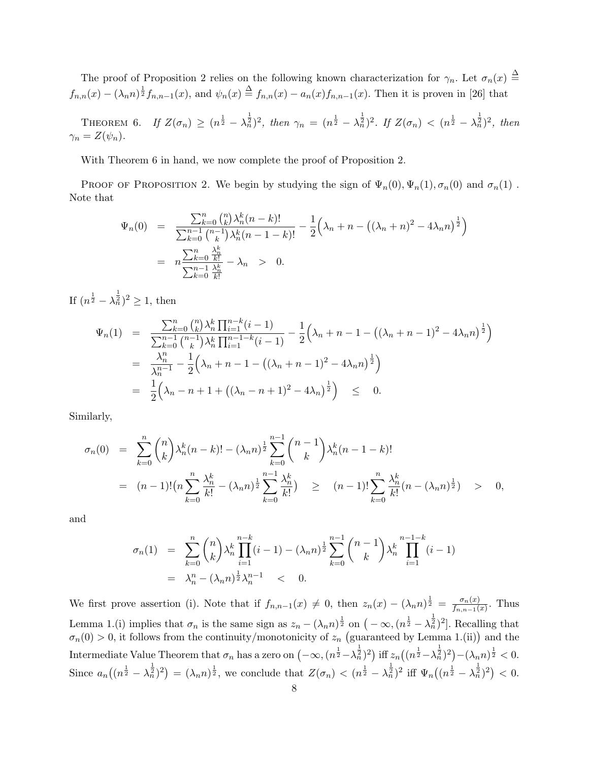The proof of Proposition 2 relies on the following known characterization for  $\gamma_n$ . Let  $\sigma_n(x) \triangleq$  $f_{n,n}(x) - (\lambda_n n)^{\frac{1}{2}} f_{n,n-1}(x)$ , and  $\psi_n(x) \stackrel{\Delta}{=} f_{n,n}(x) - a_n(x) f_{n,n-1}(x)$ . Then it is proven in [26] that

THEOREM 6. If  $Z(\sigma_n) \geq (n^{\frac{1}{2}} - \lambda_n^{\frac{1}{2}})^2$ , then  $\gamma_n = (n^{\frac{1}{2}} - \lambda_n^{\frac{1}{2}})^2$ . If  $Z(\sigma_n) < (n^{\frac{1}{2}} - \lambda_n^{\frac{1}{2}})^2$ , then  $\gamma_n = Z(\psi_n)$ .

With Theorem 6 in hand, we now complete the proof of Proposition 2.

PROOF OF PROPOSITION 2. We begin by studying the sign of  $\Psi_n(0), \Psi_n(1), \sigma_n(0)$  and  $\sigma_n(1)$ . Note that

$$
\Psi_n(0) = \frac{\sum_{k=0}^n {n \choose k} \lambda_n^k (n-k)!}{\sum_{k=0}^{n-1} {n-1 \choose k} \lambda_n^k (n-1-k)!} - \frac{1}{2} \left( \lambda_n + n - \left( (\lambda_n + n)^2 - 4\lambda_n n \right)^{\frac{1}{2}} \right)
$$
\n
$$
= n \frac{\sum_{k=0}^n \lambda_n^k}{\sum_{k=0}^n \frac{\lambda_n^k}{k!}} - \lambda_n > 0.
$$

If  $(n^{\frac{1}{2}} - \lambda_n^{\frac{1}{2}})^2 \geq 1$ , then

$$
\Psi_n(1) = \frac{\sum_{k=0}^n {n \choose k} \lambda_n^k \prod_{i=1}^{n-k} (i-1)}{\sum_{k=0}^{n-1} {n-1 \choose k} \lambda_n^k \prod_{i=1}^{n-1-k} (i-1)} - \frac{1}{2} \left( \lambda_n + n - 1 - \left( (\lambda_n + n - 1)^2 - 4\lambda_n n \right)^{\frac{1}{2}} \right)
$$
  
\n
$$
= \frac{\lambda_n^n}{\lambda_n^{n-1}} - \frac{1}{2} \left( \lambda_n + n - 1 - \left( (\lambda_n + n - 1)^2 - 4\lambda_n n \right)^{\frac{1}{2}} \right)
$$
  
\n
$$
= \frac{1}{2} \left( \lambda_n - n + 1 + \left( (\lambda_n - n + 1)^2 - 4\lambda_n \right)^{\frac{1}{2}} \right) \leq 0.
$$

Similarly,

$$
\sigma_n(0) = \sum_{k=0}^n \binom{n}{k} \lambda_n^k (n-k)! - (\lambda_n n)^{\frac{1}{2}} \sum_{k=0}^{n-1} \binom{n-1}{k} \lambda_n^k (n-1-k)!
$$
  
= 
$$
(n-1)! \left( n \sum_{k=0}^n \frac{\lambda_n^k}{k!} - (\lambda_n n)^{\frac{1}{2}} \sum_{k=0}^{n-1} \frac{\lambda_n^k}{k!} \right) \ge (n-1)! \sum_{k=0}^n \frac{\lambda_n^k}{k!} (n - (\lambda_n n)^{\frac{1}{2}}) > 0,
$$

and

$$
\sigma_n(1) = \sum_{k=0}^n \binom{n}{k} \lambda_n^k \prod_{i=1}^{n-k} (i-1) - (\lambda_n n)^{\frac{1}{2}} \sum_{k=0}^{n-1} \binom{n-1}{k} \lambda_n^k \prod_{i=1}^{n-1-k} (i-1)
$$
  
=  $\lambda_n^n - (\lambda_n n)^{\frac{1}{2}} \lambda_n^{n-1} < 0.$ 

We first prove assertion (i). Note that if  $f_{n,n-1}(x) \neq 0$ , then  $z_n(x) - (\lambda_n n)^{\frac{1}{2}} = \frac{\sigma_n(x)}{f_{n,n-1}(x)}$  $\frac{\sigma_n(x)}{f_{n,n-1}(x)}$ . Thus Lemma 1.(i) implies that  $\sigma_n$  is the same sign as  $z_n - (\lambda_n n)^{\frac{1}{2}}$  on  $(-\infty, (n^{\frac{1}{2}} - \lambda_n^{\frac{1}{2}})^2]$ . Recalling that  $\sigma_n(0) > 0$ , it follows from the continuity/monotonicity of  $z_n$  (guaranteed by Lemma 1.(ii)) and the Intermediate Value Theorem that  $\sigma_n$  has a zero on  $\left(-\infty, (n^{\frac{1}{2}} - \lambda_n^{\frac{1}{2}})^2\right)$  iff  $z_n\left((n^{\frac{1}{2}} - \lambda_n^{\frac{1}{2}})^2\right) - (\lambda_n n)^{\frac{1}{2}} < 0$ . Since  $a_n((n^{\frac{1}{2}} - \lambda_n^{\frac{1}{2}})^2) = (\lambda_n n)^{\frac{1}{2}}$ , we conclude that  $Z(\sigma_n) < (n^{\frac{1}{2}} - \lambda_n^{\frac{1}{2}})^2$  iff  $\Psi_n((n^{\frac{1}{2}} - \lambda_n^{\frac{1}{2}})^2) < 0$ .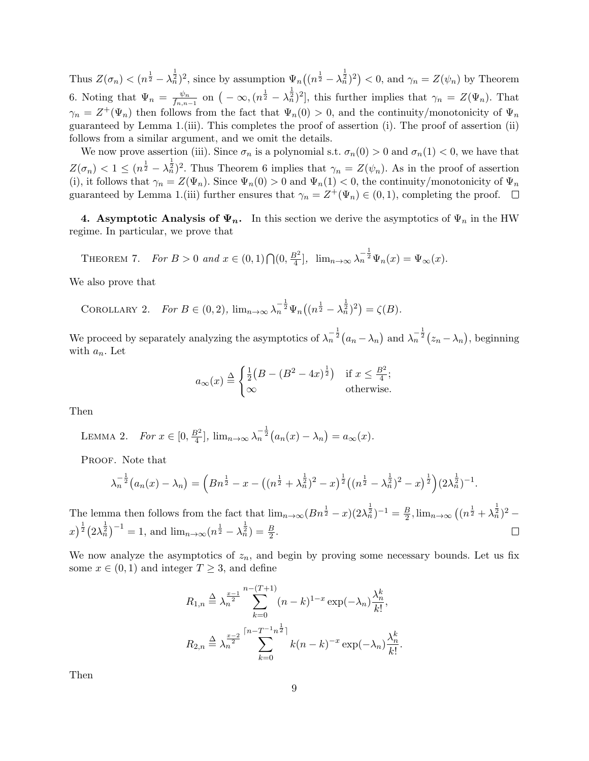Thus  $Z(\sigma_n) < (n^{\frac{1}{2}} - \lambda_n^{\frac{1}{2}})^2$ , since by assumption  $\Psi_n((n^{\frac{1}{2}} - \lambda_n^{\frac{1}{2}})^2) < 0$ , and  $\gamma_n = Z(\psi_n)$  by Theorem 6. Noting that  $\Psi_n = \frac{\psi_n}{f_n}$  $\frac{\psi_n}{f_{n,n-1}}$  on  $(-\infty, (n^{\frac{1}{2}} - \lambda_n^{\frac{1}{2}})^2]$ , this further implies that  $\gamma_n = Z(\Psi_n)$ . That  $\gamma_n = Z^+(\Psi_n)$  then follows from the fact that  $\Psi_n(0) > 0$ , and the continuity/monotonicity of  $\Psi_n$ guaranteed by Lemma 1.(iii). This completes the proof of assertion (i). The proof of assertion (ii) follows from a similar argument, and we omit the details.

We now prove assertion (iii). Since  $\sigma_n$  is a polynomial s.t.  $\sigma_n(0) > 0$  and  $\sigma_n(1) < 0$ , we have that  $Z(\sigma_n) < 1 \leq (n^{\frac{1}{2}} - \lambda_n^{\frac{1}{2}})^2$ . Thus Theorem 6 implies that  $\gamma_n = Z(\psi_n)$ . As in the proof of assertion (i), it follows that  $\gamma_n = Z(\Psi_n)$ . Since  $\Psi_n(0) > 0$  and  $\Psi_n(1) < 0$ , the continuity/monotonicity of  $\Psi_n$ guaranteed by Lemma 1.(iii) further ensures that  $\gamma_n = Z^+(\Psi_n) \in (0,1)$ , completing the proof.

**4. Asymptotic Analysis of**  $\Psi_n$ **.** In this section we derive the asymptotics of  $\Psi_n$  in the HW regime. In particular, we prove that

THEOREM 7. *For*  $B > 0$  *and*  $x \in (0,1) \bigcap (0, \frac{B^2}{4})$  $\frac{3^2}{4}$ ,  $\lim_{n \to \infty} \lambda_n^{-\frac{1}{2}} \Psi_n(x) = \Psi_\infty(x)$ .

We also prove that

COROLLARY 2. For 
$$
B \in (0, 2)
$$
,  $\lim_{n \to \infty} \lambda_n^{-\frac{1}{2}} \Psi_n((n^{\frac{1}{2}} - \lambda_n^{\frac{1}{2}})^2) = \zeta(B)$ .

We proceed by separately analyzing the asymptotics of  $\lambda_n^{-\frac{1}{2}}(a_n - \lambda_n)$  and  $\lambda_n^{-\frac{1}{2}}(z_n - \lambda_n)$ , beginning with *an*. Let

$$
a_{\infty}(x) \stackrel{\Delta}{=} \begin{cases} \frac{1}{2}(B - (B^2 - 4x)^{\frac{1}{2}}) & \text{if } x \le \frac{B^2}{4};\\ \infty & \text{otherwise.} \end{cases}
$$

Then

LEMMA 2. For 
$$
x \in [0, \frac{B^2}{4}]
$$
,  $\lim_{n \to \infty} \lambda_n^{-\frac{1}{2}} (a_n(x) - \lambda_n) = a_\infty(x)$ .

PROOF. Note that

$$
\lambda_n^{-\frac{1}{2}}(a_n(x)-\lambda_n)=\left(Bn^{\frac{1}{2}}-x-\left((n^{\frac{1}{2}}+\lambda_n^{\frac{1}{2}})^2-x\right)^{\frac{1}{2}}\left((n^{\frac{1}{2}}-\lambda_n^{\frac{1}{2}})^2-x\right)^{\frac{1}{2}}\right)(2\lambda_n^{\frac{1}{2}})^{-1}.
$$

The lemma then follows from the fact that  $\lim_{n\to\infty} (Bn^{\frac{1}{2}} - x)(2\lambda_n^{\frac{1}{2}})^{-1} = \frac{B}{2}$  $\frac{B}{2}$ ,  $\lim_{n\to\infty} \left( (n^{\frac{1}{2}} + \lambda_n^{\frac{1}{2}})^2 - \right)$  $\int_{0}^{\frac{1}{2}} (2\lambda_n^{\frac{1}{2}})^{-1} = 1$ , and  $\lim_{n \to \infty} (n^{\frac{1}{2}} - \lambda_n^{\frac{1}{2}}) = \frac{B}{2}$ .  $\Box$ 

We now analyze the asymptotics of  $z_n$ , and begin by proving some necessary bounds. Let us fix some  $x \in (0,1)$  and integer  $T \geq 3$ , and define

$$
R_{1,n} \stackrel{\Delta}{=} \lambda_n^{\frac{x-1}{2}} \sum_{k=0}^{n-(T+1)} (n-k)^{1-x} \exp(-\lambda_n) \frac{\lambda_n^k}{k!},
$$
  

$$
R_{2,n} \stackrel{\Delta}{=} \lambda_n^{\frac{x-2}{2}} \sum_{k=0}^{\lceil n-T^{-1}n^{\frac{1}{2}} \rceil} k(n-k)^{-x} \exp(-\lambda_n) \frac{\lambda_n^k}{k!}.
$$

Then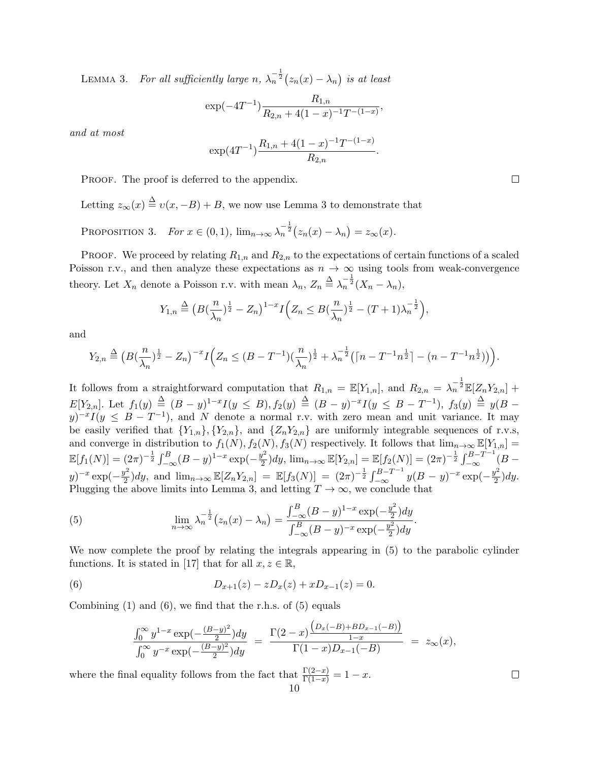LEMMA 3. For all sufficiently large  $n$ ,  $\lambda_n^{-\frac{1}{2}}(z_n(x) - \lambda_n)$  is at least

$$
\exp(-4T^{-1})\frac{R_{1,n}}{R_{2,n}+4(1-x)^{-1}T^{-(1-x)}},
$$

*and at most*

$$
\exp(4T^{-1})\frac{R_{1,n} + 4(1-x)^{-1}T^{-(1-x)}}{R_{2,n}}.
$$

PROOF. The proof is deferred to the appendix.

Letting  $z_{\infty}(x) \stackrel{\Delta}{=} v(x, -B) + B$ , we now use Lemma 3 to demonstrate that

PROPOSITION 3. *For*  $x \in (0,1)$ ,  $\lim_{n\to\infty} \lambda_n^{-\frac{1}{2}} (z_n(x) - \lambda_n) = z_\infty(x)$ .

**PROOF.** We proceed by relating  $R_{1,n}$  and  $R_{2,n}$  to the expectations of certain functions of a scaled Poisson r.v., and then analyze these expectations as  $n \to \infty$  using tools from weak-convergence theory. Let  $X_n$  denote a Poisson r.v. with mean  $\lambda_n$ ,  $Z_n \stackrel{\Delta}{=} \lambda_n^{-\frac{1}{2}} (X_n - \lambda_n)$ ,

$$
Y_{1,n} \stackrel{\Delta}{=} (B(\frac{n}{\lambda_n})^{\frac{1}{2}} - Z_n)^{1-x} I\Big(Z_n \leq B(\frac{n}{\lambda_n})^{\frac{1}{2}} - (T+1)\lambda_n^{-\frac{1}{2}}\Big),
$$

and

$$
Y_{2,n} \stackrel{\Delta}{=} (B(\frac{n}{\lambda_n})^{\frac{1}{2}} - Z_n)^{-x} I\Big(Z_n \leq (B - T^{-1})(\frac{n}{\lambda_n})^{\frac{1}{2}} + \lambda_n^{-\frac{1}{2}} (\lceil n - T^{-1}n^{\frac{1}{2}} \rceil - (n - T^{-1}n^{\frac{1}{2}}))\Big).
$$

It follows from a straightforward computation that  $R_{1,n} = \mathbb{E}[Y_{1,n}]$ , and  $R_{2,n} = \lambda_n^{-\frac{1}{2}} \mathbb{E}[Z_n Y_{2,n}] +$  $E[Y_{2,n}]$ . Let  $f_1(y) \stackrel{\Delta}{=} (B-y)^{1-x} I(y \leq B)$ ,  $f_2(y) \stackrel{\Delta}{=} (B-y)^{-x} I(y \leq B-T^{-1})$ ,  $f_3(y) \stackrel{\Delta}{=} y(B-y)^{1-x} I(y \leq B)$  $y$ <sup> $-x$ </sup> $I(y \leq B - T^{-1})$ , and *N* denote a normal r.v. with zero mean and unit variance. It may be easily verified that  ${Y_{1,n}, \{Y_{2,n}\}\$ , and  ${Z_nY_{2,n}\}$  are uniformly integrable sequences of r.v.s, and converge in distribution to  $f_1(N)$ ,  $f_2(N)$ ,  $f_3(N)$  respectively. It follows that  $\lim_{n\to\infty} \mathbb{E}[Y_{1,n}] =$  $\mathbb{E}[f_1(N)] = (2\pi)^{-\frac{1}{2}} \int_{-\infty}^{B} (B - y)^{1-x} \exp(-\frac{y^2}{2})$  $(\mathbb{E}[Y_{2,n}] = \mathbb{E}[f_2(N)] = (2\pi)^{-\frac{1}{2}} \int_{-\infty}^{B-T^{-1}} (B - \mathbb{E}[f_2(N)])$ *y*)<sup>-*x*</sup></sup> exp( $-\frac{y^2}{2}$  $\frac{y^2}{2}dy$ , and  $\lim_{n\to\infty} \mathbb{E}[Z_nY_{2,n}] = \mathbb{E}[f_3(N)] = (2\pi)^{-\frac{1}{2}} \int_{-\infty}^{B-T^{-1}} y(B-y)^{-x} \exp(-\frac{y^2}{2})$  $\frac{y}{2}$ ) dy. Plugging the above limits into Lemma 3, and letting  $T \to \infty$ , we conclude that

(5) 
$$
\lim_{n \to \infty} \lambda_n^{-\frac{1}{2}} (z_n(x) - \lambda_n) = \frac{\int_{-\infty}^B (B - y)^{1-x} \exp(-\frac{y^2}{2}) dy}{\int_{-\infty}^B (B - y)^{-x} \exp(-\frac{y^2}{2}) dy}.
$$

We now complete the proof by relating the integrals appearing in (5) to the parabolic cylinder functions. It is stated in [17] that for all  $x, z \in \mathbb{R}$ ,

(6) 
$$
D_{x+1}(z) - zD_x(z) + xD_{x-1}(z) = 0.
$$

Combining  $(1)$  and  $(6)$ , we find that the r.h.s. of  $(5)$  equals

$$
\frac{\int_0^\infty y^{1-x} \exp(-\frac{(B-y)^2}{2}) dy}{\int_0^\infty y^{-x} \exp(-\frac{(B-y)^2}{2}) dy} = \frac{\Gamma(2-x) \frac{\left(D_x(-B) + BD_{x-1}(-B)\right)}{1-x}}{\Gamma(1-x) D_{x-1}(-B)} = z_\infty(x),
$$

where the final equality follows from the fact that  $\frac{\Gamma(2-x)}{\Gamma(1-x)} = 1 - x$ . 10

 $\Box$ 

 $\Box$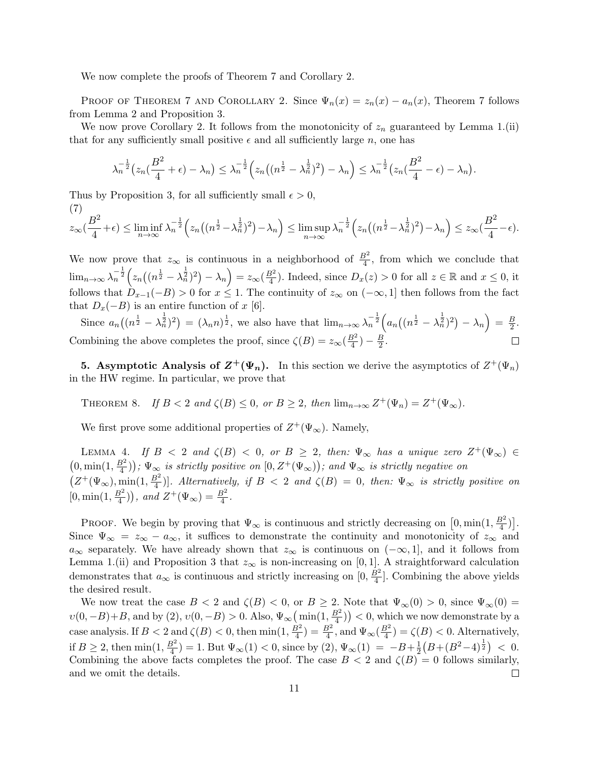We now complete the proofs of Theorem 7 and Corollary 2.

PROOF OF THEOREM 7 AND COROLLARY 2. Since  $\Psi_n(x) = z_n(x) - a_n(x)$ , Theorem 7 follows from Lemma 2 and Proposition 3.

We now prove Corollary 2. It follows from the monotonicity of  $z_n$  guaranteed by Lemma 1.(ii) that for any sufficiently small positive  $\epsilon$  and all sufficiently large *n*, one has

$$
\lambda_n^{-\frac{1}{2}}(z_n(\frac{B^2}{4}+\epsilon)-\lambda_n)\leq \lambda_n^{-\frac{1}{2}}\Big(z_n\big((n^{\frac{1}{2}}-\lambda_n^{\frac{1}{2}})^2\big)-\lambda_n\Big)\leq \lambda_n^{-\frac{1}{2}}\big(z_n(\frac{B^2}{4}-\epsilon)-\lambda_n\big).
$$

Thus by Proposition 3, for all sufficiently small  $\epsilon > 0$ , (7)

$$
z_{\infty}(\frac{B^2}{4}+\epsilon) \leq \liminf_{n \to \infty} \lambda_n^{-\frac{1}{2}} \Big( z_n \big( (n^{\frac{1}{2}} - \lambda_n^{\frac{1}{2}})^2 \big) - \lambda_n \Big) \leq \limsup_{n \to \infty} \lambda_n^{-\frac{1}{2}} \Big( z_n \big( (n^{\frac{1}{2}} - \lambda_n^{\frac{1}{2}})^2 \big) - \lambda_n \Big) \leq z_{\infty}(\frac{B^2}{4} - \epsilon).
$$

We now prove that  $z_{\infty}$  is continuous in a neighborhood of  $\frac{B^2}{4}$ , from which we conclude that  $\lim_{n\to\infty} \lambda_n^{-\frac{1}{2}} \left( z_n \left( (n^{\frac{1}{2}} - \lambda_n^{\frac{1}{2}})^2 \right) - \lambda_n \right) = z_\infty(\frac{B^2}{4})$  $\frac{3^2}{4}$ ). Indeed, since  $D_x(z) > 0$  for all  $z \in \mathbb{R}$  and  $x \leq 0$ , it follows that  $D_{x-1}(-B) > 0$  for  $x \leq 1$ . The continuity of  $z_{\infty}$  on  $(-\infty, 1]$  then follows from the fact that  $D_x(-B)$  is an entire function of *x* [6].

Since  $a_n((n^{\frac{1}{2}} - \lambda_n^{\frac{1}{2}})^2) = (\lambda_n n)^{\frac{1}{2}}$ , we also have that  $\lim_{n \to \infty} \lambda_n^{-\frac{1}{2}}\Big(a_n((n^{\frac{1}{2}} - \lambda_n^{\frac{1}{2}})^2) - \lambda_n\Big) = \frac{B}{2}$  $\frac{B}{2}$ . Combining the above completes the proof, since  $\zeta(B) = z_{\infty}(\frac{B^2}{4})$  $\frac{B^2}{4}) - \frac{B}{2}$  $\frac{B}{2}$ . П

**5.** Asymptotic Analysis of  $Z^+(\Psi_n)$ . In this section we derive the asymptotics of  $Z^+(\Psi_n)$ in the HW regime. In particular, we prove that

THEOREM 8. *If*  $B < 2$  *and*  $\zeta(B) \le 0$ *, or*  $B \ge 2$ *, then*  $\lim_{n \to \infty} Z^+(\Psi_n) = Z^+(\Psi_\infty)$ *.* 

We first prove some additional properties of  $Z^+(\Psi_\infty)$ . Namely,

LEMMA 4. *If*  $B < 2$  *and*  $\zeta(B) < 0$ , or  $B \geq 2$ , then:  $\Psi_{\infty}$  has a unique zero  $Z^+(\Psi_{\infty}) \in$  $(0, \min(1, \frac{B^2}{4}))$  $(\frac{3^2}{4})$ );  $\Psi_{\infty}$  *is strictly positive on*  $[0, Z^+(\Psi_{\infty}))$ ; and  $\Psi_{\infty}$  *is strictly negative on*  $(Z^+(\Psi_\infty), \min(1, \frac{B^2}{4})$  $\left(\frac{3^2}{4}\right)$ ]. Alternatively, if  $B < 2$  and  $\zeta(B) = 0$ , then:  $\Psi_{\infty}$  is strictly positive on  $[0, \min(1, \frac{B^2}{4})]$  $\left(\frac{B^2}{4}\right)$ , and  $Z^+(\Psi_\infty) = \frac{B^2}{4}$ .

PROOF. We begin by proving that  $\Psi_{\infty}$  is continuous and strictly decreasing on  $[0, \min(1, \frac{B^2}{4})]$  $\frac{3^2}{4})]$ . Since  $\Psi_{\infty} = z_{\infty} - a_{\infty}$ , it suffices to demonstrate the continuity and monotonicity of  $z_{\infty}$  and  $a_{\infty}$  separately. We have already shown that  $z_{\infty}$  is continuous on ( $-\infty$ , 1], and it follows from Lemma 1.(ii) and Proposition 3 that  $z_{\infty}$  is non-increasing on [0,1]. A straightforward calculation demonstrates that  $a_{\infty}$  is continuous and strictly increasing on  $[0, \frac{B^2}{4}]$  $\frac{3^2}{4}$ . Combining the above yields the desired result.

We now treat the case  $B < 2$  and  $\zeta(B) < 0$ , or  $B \geq 2$ . Note that  $\Psi_{\infty}(0) > 0$ , since  $\Psi_{\infty}(0) =$  $\nu(0, -B) + B$ , and by (2),  $\nu(0, -B) > 0$ . Also,  $\Psi_{\infty}(\min(1, \frac{B^2}{4}))$  $\left(\frac{3^2}{4}\right)$  > 0, which we now demonstrate by a case analysis. If  $B < 2$  and  $\zeta(B) < 0$ , then min $(1, \frac{B^2}{4})$  $(\frac{B^2}{4}) = \frac{B^2}{4}$ , and  $\Psi_{\infty}(\frac{B^2}{4})$  $\frac{3^2}{4}$ ) =  $\zeta(B)$  < 0. Alternatively, if  $B \geq 2$ , then min $(1, \frac{B^2}{4})$  $\frac{1}{2}(B+(B^2-4)^{\frac{1}{2}}) < 0.$  $\left(\frac{3^2}{4}\right) = 1$ . But  $\Psi_{\infty}(1) < 0$ , since by  $(2), \Psi_{\infty}(1) = -B + \frac{1}{2}$ Combining the above facts completes the proof. The case  $B < 2$  and  $\zeta(B) = 0$  follows similarly, and we omit the details. □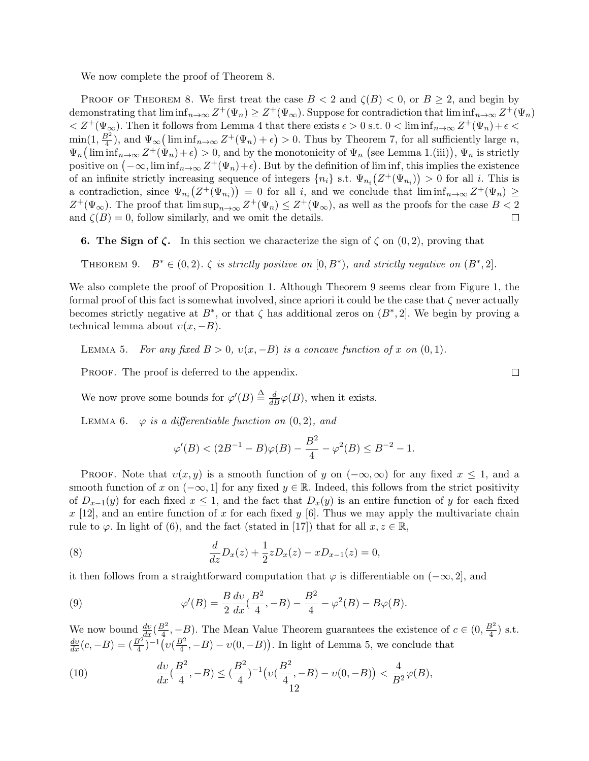We now complete the proof of Theorem 8.

PROOF OF THEOREM 8. We first treat the case  $B < 2$  and  $\zeta(B) < 0$ , or  $B \geq 2$ , and begin by demonstrating that  $\liminf_{n\to\infty} Z^+(\Psi_n) \geq Z^+(\Psi_\infty)$ . Suppose for contradiction that  $\liminf_{n\to\infty} Z^+(\Psi_n)$  $\langle Z^+(\Psi_\infty).$  Then it follows from Lemma 4 that there exists  $\epsilon > 0$  s.t.  $0 < \liminf_{n \to \infty} Z^+(\Psi_n) + \epsilon <$  $\min(1, \frac{B^2}{4})$  $\frac{3^2}{4}$ , and  $\Psi_{\infty}(\liminf_{n\to\infty}Z^+(\Psi_n)+\epsilon)>0$ . Thus by Theorem 7, for all sufficiently large *n*,  $\Psi_n\left(\liminf_{n\to\infty} Z^+(\Psi_n)+\epsilon\right) > 0$ , and by the monotonicity of  $\Psi_n$  (see Lemma 1.(iii)),  $\Psi_n$  is strictly positive on  $(-\infty, \liminf_{n\to\infty} Z^+(\Psi_n)+\epsilon)$ . But by the definition of  $\liminf$ , this implies the existence of an infinite strictly increasing sequence of integers  $\{n_i\}$  s.t.  $\Psi_{n_i}(Z^+(\Psi_{n_i})) > 0$  for all *i*. This is a contradiction, since  $\Psi_{n_i}(Z^+(\Psi_{n_i})) = 0$  for all *i*, and we conclude that  $\liminf_{n\to\infty} Z^+(\Psi_n) \ge$  $Z^+(\Psi_\infty)$ . The proof that  $\limsup_{n\to\infty} Z^+(\Psi_n) \leq Z^+(\Psi_\infty)$ , as well as the proofs for the case  $B < 2$ and  $\zeta(B) = 0$ , follow similarly, and we omit the details.

**6. The Sign of**  $\zeta$ **.** In this section we characterize the sign of  $\zeta$  on  $(0, 2)$ , proving that

THEOREM 9.  $B^* \in (0,2)$ .  $\zeta$  *is strictly positive on*  $[0, B^*)$ , and strictly negative on  $(B^*, 2]$ .

We also complete the proof of Proposition 1. Although Theorem 9 seems clear from Figure 1, the formal proof of this fact is somewhat involved, since apriori it could be the case that *ζ* never actually becomes strictly negative at  $B^*$ , or that  $\zeta$  has additional zeros on  $(B^*, 2]$ . We begin by proving a technical lemma about  $v(x, -B)$ .

LEMMA 5. For any fixed  $B > 0$ ,  $v(x, -B)$  is a concave function of x on  $(0, 1)$ .

PROOF. The proof is deferred to the appendix.

We now prove some bounds for  $\varphi'(B) \stackrel{\Delta}{=} \frac{d}{dB} \varphi(B)$ , when it exists.

LEMMA 6.  $\varphi$  *is a differentiable function on*  $(0, 2)$ *, and* 

$$
\varphi'(B) < (2B^{-1} - B)\varphi(B) - \frac{B^2}{4} - \varphi^2(B) \le B^{-2} - 1.
$$

**PROOF.** Note that  $v(x, y)$  is a smooth function of *y* on  $(-\infty, \infty)$  for any fixed  $x \le 1$ , and a smooth function of *x* on  $(-\infty, 1]$  for any fixed  $y \in \mathbb{R}$ . Indeed, this follows from the strict positivity of  $D_{x-1}(y)$  for each fixed  $x \leq 1$ , and the fact that  $D_x(y)$  is an entire function of *y* for each fixed  $x$  [12], and an entire function of  $x$  for each fixed  $y$  [6]. Thus we may apply the multivariate chain rule to  $\varphi$ . In light of (6), and the fact (stated in [17]) that for all  $x, z \in \mathbb{R}$ ,

(8) 
$$
\frac{d}{dz}D_x(z) + \frac{1}{2}zD_x(z) - xD_{x-1}(z) = 0,
$$

it then follows from a straightforward computation that  $\varphi$  is differentiable on  $(-\infty, 2]$ , and

(9) 
$$
\varphi'(B) = \frac{B}{2} \frac{dv}{dx} (\frac{B^2}{4}, -B) - \frac{B^2}{4} - \varphi^2(B) - B\varphi(B).
$$

We now bound  $\frac{dv}{dx}(\frac{B^2}{4})$  $\frac{3^2}{4}$ , −*B*). The Mean Value Theorem guarantees the existence of *c* ∈ (0,  $\frac{B^2}{4}$ )  $\frac{3^2}{4}$ ) s.t.  $\frac{dv}{dx}(c, -B) = \left(\frac{B^2}{4}\right)^{-1} \left(v\left(\frac{B^2}{4}\right)\right)$  $\left(\frac{3^2}{4}, -B\right) - \nu(0, -B)$ . In light of Lemma 5, we conclude that

(10) 
$$
\frac{dv}{dx}(\frac{B^2}{4}, -B) \le (\frac{B^2}{4})^{-1} \left(v(\frac{B^2}{4}, -B) - v(0, -B)\right) < \frac{4}{B^2} \varphi(B),
$$

 $\Box$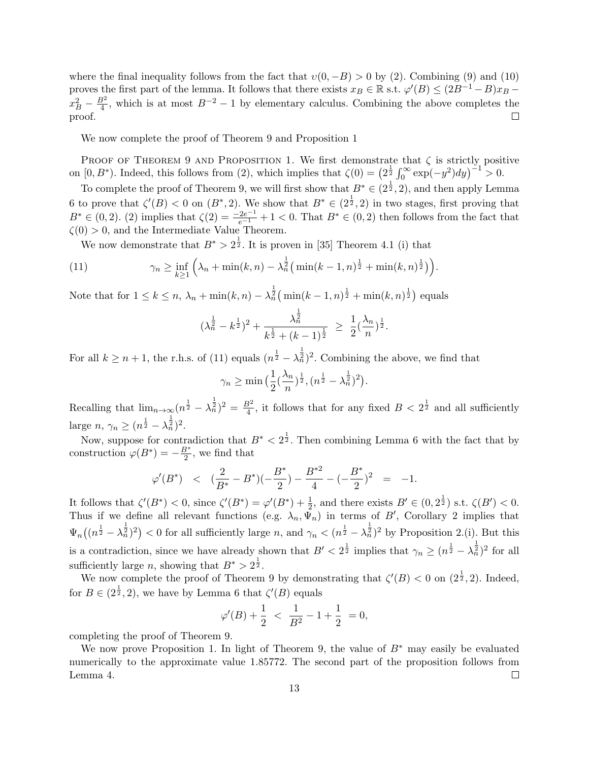where the final inequality follows from the fact that  $v(0, -B) > 0$  by (2). Combining (9) and (10) proves the first part of the lemma. It follows that there exists  $x_B \in \mathbb{R}$  s.t.  $\varphi'(B) \leq (2B^{-1} - B)x_B$  $x_B^2 - \frac{B^2}{4}$  $\frac{3^2}{4}$ , which is at most  $B^{-2} - 1$  by elementary calculus. Combining the above completes the proof.  $\Box$ 

We now complete the proof of Theorem 9 and Proposition 1

PROOF OF THEOREM 9 AND PROPOSITION 1. We first demonstrate that  $\zeta$  is strictly positive on  $[0, B^*)$ . Indeed, this follows from (2), which implies that  $\zeta(0) = \left(2^{\frac{1}{2}} \int_0^\infty \exp(-y^2) dy\right)^{-1} > 0$ .

To complete the proof of Theorem 9, we will first show that  $B^* \in (2^{\frac{1}{2}}, 2)$ , and then apply Lemma 6 to prove that  $\zeta'(B) < 0$  on  $(B^*, 2)$ . We show that  $B^* \in (2^{\frac{1}{2}}, 2)$  in two stages, first proving that *B*<sup>∗</sup>  $∈$  (0*,* 2*)*. (2*)* implies that  $ζ(2) = \frac{-2e^{-1}}{e^{-1}} + 1 < 0$ . That  $B$ <sup>\*</sup>  $∈$  (0*,* 2*)* then follows from the fact that  $\zeta(0) > 0$ , and the Intermediate Value Theorem.

We now demonstrate that  $B^* > 2^{\frac{1}{2}}$ . It is proven in [35] Theorem 4.1 (i) that

(11) 
$$
\gamma_n \ge \inf_{k \ge 1} \left( \lambda_n + \min(k, n) - \lambda_n^{\frac{1}{2}} \left( \min(k - 1, n)^{\frac{1}{2}} + \min(k, n)^{\frac{1}{2}} \right) \right).
$$

Note that for  $1 \le k \le n$ ,  $\lambda_n + \min(k, n) - \lambda_n^{\frac{1}{2}} (\min(k - 1, n)^{\frac{1}{2}} + \min(k, n)^{\frac{1}{2}})$  equals

$$
(\lambda_n^{\frac{1}{2}} - k^{\frac{1}{2}})^2 + \frac{\lambda_n^{\frac{1}{2}}}{k^{\frac{1}{2}} + (k-1)^{\frac{1}{2}}} \ge \frac{1}{2} (\frac{\lambda_n}{n})^{\frac{1}{2}}.
$$

For all  $k \geq n+1$ , the r.h.s. of (11) equals  $(n^{\frac{1}{2}} - \lambda_n^{\frac{1}{2}})^2$ . Combining the above, we find that

$$
\gamma_n \ge \min\left(\frac{1}{2}(\frac{\lambda_n}{n})^{\frac{1}{2}}, (n^{\frac{1}{2}} - \lambda_n^{\frac{1}{2}})^2\right).
$$

Recalling that  $\lim_{n\to\infty} (n^{\frac{1}{2}} - \lambda_n^{\frac{1}{2}})^2 = \frac{B^2}{4}$  $\frac{3^2}{4}$ , it follows that for any fixed  $B < 2^{\frac{1}{2}}$  and all sufficiently large *n*,  $\gamma_n \geq (n^{\frac{1}{2}} - \lambda_n^{\frac{1}{2}})^2$ .

Now, suppose for contradiction that  $B^* < 2^{\frac{1}{2}}$ . Then combining Lemma 6 with the fact that by construction  $\varphi(B^*) = -\frac{B^*}{2}$  $\frac{3^*}{2}$ , we find that

$$
\varphi'(B^*)
$$
  $<(\frac{2}{B^*} - B^*)(-\frac{B^*}{2}) - \frac{B^{*2}}{4} - (-\frac{B^*}{2})^2 = -1.$ 

It follows that  $\zeta'(B^*) < 0$ , since  $\zeta'(B^*) = \varphi'(B^*) + \frac{1}{2}$ , and there exists  $B' \in (0, 2^{\frac{1}{2}})$  s.t.  $\zeta(B') < 0$ . Thus if we define all relevant functions (e.g.  $\lambda_n, \Psi_n$ ) in terms of *B'*, Corollary 2 implies that  $\Psi_n((n^{\frac{1}{2}} - \lambda_n^{\frac{1}{2}})^2)$  < 0 for all sufficiently large *n*, and  $\gamma_n < (n^{\frac{1}{2}} - \lambda_n^{\frac{1}{2}})^2$  by Proposition 2.(i). But this is a contradiction, since we have already shown that  $B' < 2^{\frac{1}{2}}$  implies that  $\gamma_n \geq (n^{\frac{1}{2}} - \lambda_n^{\frac{1}{2}})^2$  for all sufficiently large *n*, showing that  $B^* > 2^{\frac{1}{2}}$ .

We now complete the proof of Theorem 9 by demonstrating that  $\zeta'(B) < 0$  on  $(2^{\frac{1}{2}}, 2)$ . Indeed, for  $B \in (2^{\frac{1}{2}}, 2)$ , we have by Lemma 6 that  $\zeta'(B)$  equals

$$
\varphi'(B) + \frac{1}{2} < \frac{1}{B^2} - 1 + \frac{1}{2} = 0,
$$

completing the proof of Theorem 9.

We now prove Proposition 1. In light of Theorem 9, the value of *B∗* may easily be evaluated numerically to the approximate value 1.85772. The second part of the proposition follows from Lemma 4.  $\Box$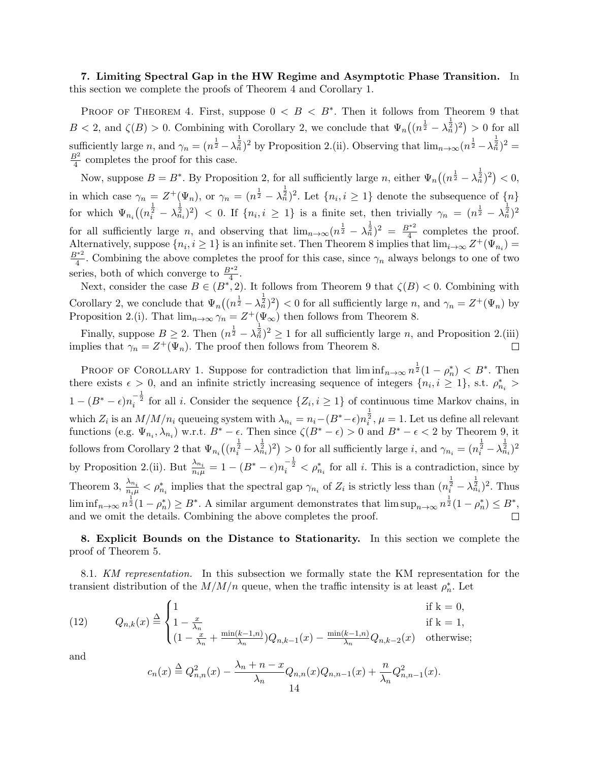**7. Limiting Spectral Gap in the HW Regime and Asymptotic Phase Transition.** In this section we complete the proofs of Theorem 4 and Corollary 1.

PROOF OF THEOREM 4. First, suppose  $0 < B < B^*$ . Then it follows from Theorem 9 that  $B < 2$ , and  $\zeta(B) > 0$ . Combining with Corollary 2, we conclude that  $\Psi_n((n^{\frac{1}{2}} - \lambda_n^{\frac{1}{2}})^2) > 0$  for all sufficiently large *n*, and  $\gamma_n = (n^{\frac{1}{2}} - \lambda_n^{\frac{1}{2}})^2$  by Proposition 2.(ii). Observing that  $\lim_{n\to\infty} (n^{\frac{1}{2}} - \lambda_n^{\frac{1}{2}})^2 =$ *B*<sup>2</sup>  $\frac{3^2}{4}$  completes the proof for this case.

Now, suppose  $B = B^*$ . By Proposition 2, for all sufficiently large *n*, either  $\Psi_n((n^{\frac{1}{2}} - \lambda_n^{\frac{1}{2}})^2) < 0$ , in which case  $\gamma_n = Z^+(\Psi_n)$ , or  $\gamma_n = (n^{\frac{1}{2}} - \lambda_n^{\frac{1}{2}})^2$ . Let  $\{n_i, i \geq 1\}$  denote the subsequence of  $\{n\}$ for which  $\Psi_{n_i}((n_i^{\frac{1}{2}} - \lambda_{n_i}^{\frac{1}{2}})^2) < 0$ . If  $\{n_i, i \geq 1\}$  is a finite set, then trivially  $\gamma_n = (n_{\overline{2}} - \lambda_n^{\frac{1}{2}})^2$ for all sufficiently large *n*, and observing that  $\lim_{n\to\infty} (n^{\frac{1}{2}} - \lambda_n^{\frac{1}{2}})^2 = \frac{B^{*2}}{4}$  $\frac{4}{4}$  completes the proof. Alternatively, suppose  $\{n_i, i \geq 1\}$  is an infinite set. Then Theorem 8 implies that  $\lim_{i\to\infty} Z^+(\Psi_{n_i}) =$ *B∗*<sup>2</sup>  $\frac{4}{4}$ . Combining the above completes the proof for this case, since  $\gamma_n$  always belongs to one of two series, both of which converge to  $\frac{B^{*2}}{4}$ .

Next, consider the case  $B \in (B^*, 2)$ . It follows from Theorem 9 that  $\zeta(B) < 0$ . Combining with Corollary 2, we conclude that  $\Psi_n((n^{\frac{1}{2}} - \lambda_n^{\frac{1}{2}})^2) < 0$  for all sufficiently large *n*, and  $\gamma_n = Z^+(\Psi_n)$  by Proposition 2.(i). That  $\lim_{n\to\infty} \gamma_n = Z^+(\Psi_\infty)$  then follows from Theorem 8.

Finally, suppose  $B \ge 2$ . Then  $(n^{\frac{1}{2}} - \lambda^{\frac{1}{2}}_n)^2 \ge 1$  for all sufficiently large *n*, and Proposition 2.(iii) implies that  $\gamma_n = Z^+(\Psi_n)$ . The proof then follows from Theorem 8.  $\Box$ 

PROOF OF COROLLARY 1. Suppose for contradiction that  $\liminf_{n\to\infty} n^{\frac{1}{2}}(1-\rho_n^*) < B^*$ . Then there exists  $\epsilon > 0$ , and an infinite strictly increasing sequence of integers  $\{n_i, i \geq 1\}$ , s.t.  $\rho_{n_i}^* >$  $1 - (B^* - \epsilon)n_i^{-\frac{1}{2}}$  for all *i*. Consider the sequence  $\{Z_i, i \geq 1\}$  of continuous time Markov chains, in which  $Z_i$  is an  $M/M/n_i$  queueing system with  $\lambda_{n_i} = n_i - (B^* - \epsilon)n_i^{\frac{1}{2}}, \mu = 1$ . Let us define all relevant functions (e.g.  $\Psi_{n_i}, \lambda_{n_i}$ ) w.r.t.  $B^* - \epsilon$ . Then since  $\zeta(B^* - \epsilon) > 0$  and  $B^* - \epsilon < 2$  by Theorem 9, it follows from Corollary 2 that  $\Psi_{n_i}((n_i^{\frac{1}{2}} - \lambda_{n_i}^{\frac{1}{2}})^2) > 0$  for all sufficiently large *i*, and  $\gamma_{n_i} = (n_i^{\frac{1}{2}} - \lambda_{n_i}^{\frac{1}{2}})^2$ by Proposition 2.(ii). But  $\frac{\lambda_{n_i}}{n_i \mu} = 1 - (B^* - \epsilon)n_i^{-\frac{1}{2}} < \rho_{n_i}^*$  for all *i*. This is a contradiction, since by Theorem 3,  $\frac{\lambda_{n_i}}{n_i \mu} < \rho_{n_i}^*$  implies that the spectral gap  $\gamma_{n_i}$  of  $Z_i$  is strictly less than  $(n_i^{\frac{1}{2}} - \lambda_{n_i}^{\frac{1}{2}})^2$ . Thus  $\liminf_{n\to\infty} n^{\frac{1}{2}}(1-\rho_n^*) \geq B^*$ . A similar argument demonstrates that  $\limsup_{n\to\infty} n^{\frac{1}{2}}(1-\rho_n^*) \leq B^*$ . and we omit the details. Combining the above completes the proof.

**8. Explicit Bounds on the Distance to Stationarity.** In this section we complete the proof of Theorem 5.

8.1. *KM representation.* In this subsection we formally state the KM representation for the transient distribution of the  $M/M/n$  queue, when the traffic intensity is at least  $\rho_n^*$ . Let

(12) 
$$
Q_{n,k}(x) \stackrel{\Delta}{=} \begin{cases} 1 & \text{if } k = 0, \\ 1 - \frac{x}{\lambda_n} & \text{if } k = 1, \\ (1 - \frac{x}{\lambda_n} + \frac{\min(k-1,n)}{\lambda_n})Q_{n,k-1}(x) - \frac{\min(k-1,n)}{\lambda_n}Q_{n,k-2}(x) & \text{otherwise}; \end{cases}
$$

and

$$
c_n(x) \stackrel{\Delta}{=} Q_{n,n}^2(x) - \frac{\lambda_n + n - x}{\lambda_n} Q_{n,n}(x) Q_{n,n-1}(x) + \frac{n}{\lambda_n} Q_{n,n-1}^2(x).
$$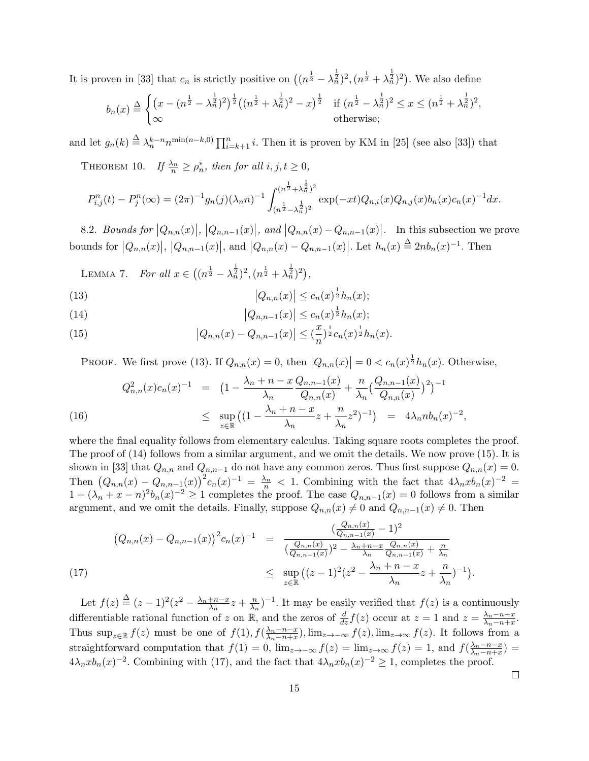It is proven in [33] that  $c_n$  is strictly positive on  $((n^{\frac{1}{2}} - \lambda_n^{\frac{1}{2}})^2, (n^{\frac{1}{2}} + \lambda_n^{\frac{1}{2}})^2)$ . We also define

$$
b_n(x) \stackrel{\Delta}{=} \begin{cases} \left(x - (n^{\frac{1}{2}} - \lambda_n^{\frac{1}{2}})^2\right)^{\frac{1}{2}} \left((n^{\frac{1}{2}} + \lambda_n^{\frac{1}{2}})^2 - x\right)^{\frac{1}{2}} & \text{if } (n^{\frac{1}{2}} - \lambda_n^{\frac{1}{2}})^2 \le x \le (n^{\frac{1}{2}} + \lambda_n^{\frac{1}{2}})^2, \\ \infty & \text{otherwise}; \end{cases}
$$

and let  $g_n(k) \triangleq \lambda_n^{k-n} n^{\min(n-k,0)} \prod_{i=k+1}^n i$ . Then it is proven by KM in [25] (see also [33]) that

THEOREM 10. *If*  $\frac{\lambda_n}{n} \ge \rho_n^*$ , then for all  $i, j, t \ge 0$ ,

$$
P_{i,j}^{n}(t) - P_{j}^{n}(\infty) = (2\pi)^{-1} g_{n}(j) (\lambda_{n} n)^{-1} \int_{(n^{\frac{1}{2}} - \lambda_{n}^{\frac{1}{2}})^{2}}^{(n^{\frac{1}{2}} + \lambda_{n}^{\frac{1}{2}})^{2}} \exp(-xt) Q_{n,i}(x) Q_{n,j}(x) b_{n}(x) c_{n}(x)^{-1} dx.
$$

8.2. Bounds for  $|Q_{n,n}(x)|$ ,  $|Q_{n,n-1}(x)|$ , and  $|Q_{n,n}(x) - Q_{n,n-1}(x)|$ . In this subsection we prove bounds for  $|Q_{n,n}(x)|, |Q_{n,n-1}(x)|$ , and  $|Q_{n,n}(x) - Q_{n,n-1}(x)|$ . Let  $h_n(x) \stackrel{\Delta}{=} 2nb_n(x)^{-1}$ . Then

LEMMA 7. *For all*  $x \in ((n^{\frac{1}{2}} - \lambda_n^{\frac{1}{2}})^2, (n^{\frac{1}{2}} + \lambda_n^{\frac{1}{2}})^2)$ ,

(13) 
$$
|Q_{n,n}(x)| \leq c_n(x)^{\frac{1}{2}} h_n(x);
$$

(14) 
$$
|Q_{n,n-1}(x)| \leq c_n(x)^{\frac{1}{2}} h_n(x);
$$

(15) 
$$
\left|Q_{n,n}(x) - Q_{n,n-1}(x)\right| \leq \left(\frac{x}{n}\right)^{\frac{1}{2}} c_n(x)^{\frac{1}{2}} h_n(x).
$$

PROOF. We first prove (13). If  $Q_{n,n}(x) = 0$ , then  $|Q_{n,n}(x)| = 0 < c_n(x)^{\frac{1}{2}} h_n(x)$ . Otherwise,

(16) 
$$
Q_{n,n}^{2}(x)c_{n}(x)^{-1} = \left(1 - \frac{\lambda_{n} + n - x}{\lambda_{n}} \frac{Q_{n,n-1}(x)}{Q_{n,n}(x)} + \frac{n}{\lambda_{n}} \left(\frac{Q_{n,n-1}(x)}{Q_{n,n}(x)}\right)^{2}\right)^{-1} \le \sup_{z \in \mathbb{R}} \left( (1 - \frac{\lambda_{n} + n - x}{\lambda_{n}} z + \frac{n}{\lambda_{n}} z^{2})^{-1} \right) = 4\lambda_{n} nb_{n}(x)^{-2},
$$

where the final equality follows from elementary calculus. Taking square roots completes the proof. The proof of (14) follows from a similar argument, and we omit the details. We now prove (15). It is shown in [33] that  $Q_{n,n}$  and  $Q_{n,n-1}$  do not have any common zeros. Thus first suppose  $Q_{n,n}(x) = 0$ . Then  $(Q_{n,n}(x) - Q_{n,n-1}(x))^2 c_n(x)^{-1} = \frac{\lambda_n}{n} < 1$ . Combining with the fact that  $4\lambda_n x b_n(x)^{-2} =$  $1 + (\lambda_n + x - n)^2 b_n(x)^{-2} \ge 1$  completes the proof. The case  $Q_{n,n-1}(x) = 0$  follows from a similar argument, and we omit the details. Finally, suppose  $Q_{n,n}(x) \neq 0$  and  $Q_{n,n-1}(x) \neq 0$ . Then

$$
(Q_{n,n}(x) - Q_{n,n-1}(x))^{2} c_{n}(x)^{-1} = \frac{(\frac{Q_{n,n}(x)}{Q_{n,n-1}(x)} - 1)^{2}}{(\frac{Q_{n,n}(x)}{Q_{n,n-1}(x)})^{2} - \frac{\lambda_{n} + n - x}{\lambda_{n}} \frac{Q_{n,n}(x)}{Q_{n,n-1}(x)} + \frac{n}{\lambda_{n}}} \le \sup_{z \in \mathbb{R}} ((z-1)^{2} (z^{2} - \frac{\lambda_{n} + n - x}{\lambda_{n}} z + \frac{n}{\lambda_{n}})^{-1}).
$$

Let  $f(z) \stackrel{\Delta}{=} (z-1)^2(z^2 - \frac{\lambda_n + n - x}{\lambda_n}z + \frac{n}{\lambda_n})$  $\frac{n}{\lambda_n}$ )<sup>-1</sup>. It may be easily verified that *f*(*z*) is a continuously differentiable rational function of *z* on R, and the zeros of  $\frac{d}{dz}f(z)$  occur at  $z = 1$  and  $z = \frac{\lambda_n - n - x}{\lambda_n - n + x}$  $\frac{\lambda_n - n - x}{\lambda_n - n + x}$ . Thus  $\sup_{z \in \mathbb{R}} f(z)$  must be one of  $f(1)$ ,  $f(\frac{\lambda_n - n - x}{\lambda_n - n + x})$  $\frac{\lambda_n - n - x}{\lambda_n - n + x}$ ,  $\lim_{z \to -\infty} f(z)$ ,  $\lim_{z \to \infty} f(z)$ . It follows from a straightforward computation that  $f(1) = 0$ ,  $\lim_{z\to-\infty} f(z) = \lim_{z\to\infty} f(z) = 1$ , and  $f(\frac{\lambda_n - n - x}{\lambda_n - n + x})$  $\frac{\lambda_n - n - x}{\lambda_n - n + x}$ ) =  $4\lambda_n x b_n(x)^{-2}$ . Combining with (17), and the fact that  $4\lambda_n x b_n(x)^{-2} \geq 1$ , completes the proof.

 $\Box$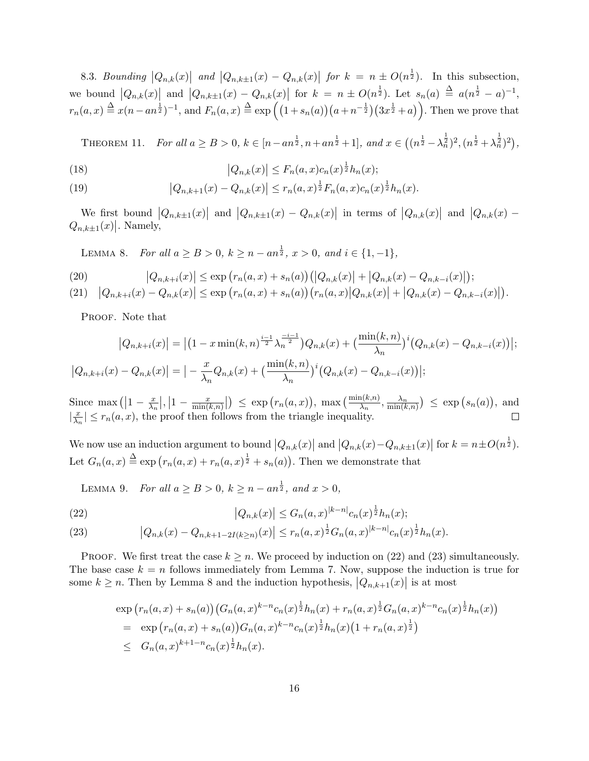8.3. Bounding  $|Q_{n,k}(x)|$  and  $|Q_{n,k\pm 1}(x) - Q_{n,k}(x)|$  for  $k = n \pm O(n^{\frac{1}{2}})$ . In this subsection, we bound  $|Q_{n,k}(x)|$  and  $|Q_{n,k+1}(x) - Q_{n,k}(x)|$  for  $k = n \pm O(n^{\frac{1}{2}})$ . Let  $s_n(a) \triangleq a(n^{\frac{1}{2}} - a)^{-1}$ ,  $r_n(a,x) \stackrel{\Delta}{=} x(n-an^{\frac{1}{2}})^{-1}$ , and  $F_n(a,x) \stackrel{\Delta}{=} \exp((1 + s_n(a))(a + n^{-\frac{1}{2}})(3x^{\frac{1}{2}} + a))$ . Then we prove that

THEOREM 11. For all  $a \ge B > 0$ ,  $k \in [n - an^{\frac{1}{2}}, n + an^{\frac{1}{2}} + 1]$ , and  $x \in ((n^{\frac{1}{2}} - \lambda_n^{\frac{1}{2}})^2, (n^{\frac{1}{2}} + \lambda_n^{\frac{1}{2}})^2)$ ,

(18) 
$$
|Q_{n,k}(x)| \le F_n(a,x)c_n(x)^{\frac{1}{2}}h_n(x);
$$

(19) 
$$
\left|Q_{n,k+1}(x) - Q_{n,k}(x)\right| \le r_n(a,x)^{\frac{1}{2}} F_n(a,x) c_n(x)^{\frac{1}{2}} h_n(x).
$$

We first bound  $|Q_{n,k\pm 1}(x)|$  and  $|Q_{n,k\pm 1}(x) - Q_{n,k}(x)|$  in terms of  $|Q_{n,k}(x)|$  and  $|Q_{n,k}(x) - Q_{n,k}(x)|$  $Q_{n,k\pm 1}(x)$ . Namely,

LEMMA 8. *For all*  $a \geq B > 0$ ,  $k \geq n - an^{\frac{1}{2}}$ ,  $x > 0$ , and  $i \in \{1, -1\}$ ,

(20) 
$$
|Q_{n,k+i}(x)| \le \exp(r_n(a,x) + s_n(a)) (|Q_{n,k}(x)| + |Q_{n,k}(x) - Q_{n,k-i}(x)|);
$$

$$
(21) \quad |Q_{n,k+i}(x) - Q_{n,k}(x)| \le \exp(r_n(a,x) + s_n(a)) (r_n(a,x) |Q_{n,k}(x)| + |Q_{n,k}(x) - Q_{n,k-i}(x)|).
$$

PROOF. Note that

$$
|Q_{n,k+i}(x)| = |(1-x\min(k,n)^{\frac{i-1}{2}}\lambda_n^{\frac{-i-1}{2}})Q_{n,k}(x) + (\frac{\min(k,n)}{\lambda_n})^i(Q_{n,k}(x) - Q_{n,k-i}(x))|;
$$
  

$$
|Q_{n,k+i}(x) - Q_{n,k}(x)| = |-\frac{x}{\lambda_n}Q_{n,k}(x) + (\frac{\min(k,n)}{\lambda_n})^i(Q_{n,k}(x) - Q_{n,k-i}(x))|;
$$

Since max ( $\left|1 - \frac{x}{\lambda_i}\right|$  $\frac{x}{\lambda_n}$ ,  $\left|1-\frac{x}{\min(\lambda_n)}\right|$  $\frac{x}{\min(k,n)}$   $\Big| \Big) \leq \exp(r_n(a,x)), \max\left(\frac{\min(k,n)}{\lambda_n}, \frac{\lambda_n}{\min(k,n)}\right) \leq \exp(s_n(a)),$  and  $\frac{x}{\lambda}$  $\left|\frac{x}{\lambda_n}\right| \leq r_n(a,x)$ , the proof then follows from the triangle inequality.  $\Box$ 

We now use an induction argument to bound  $|Q_{n,k}(x)|$  and  $|Q_{n,k}(x) - Q_{n,k\pm 1}(x)|$  for  $k = n \pm O(n^{\frac{1}{2}})$ . Let  $G_n(a, x) \triangleq \exp(r_n(a, x) + r_n(a, x)^{\frac{1}{2}} + s_n(a))$ . Then we demonstrate that

LEMMA 9. *For all*  $a \geq B > 0$ ,  $k \geq n - an^{\frac{1}{2}}$ , and  $x > 0$ ,

(22) 
$$
|Q_{n,k}(x)| \leq G_n(a,x)^{|k-n|} c_n(x)^{\frac{1}{2}} h_n(x);
$$

(23) 
$$
\left|Q_{n,k}(x) - Q_{n,k+1-2I(k \ge n)}(x)\right| \le r_n(a,x)^{\frac{1}{2}} G_n(a,x)^{|k-n|} c_n(x)^{\frac{1}{2}} h_n(x).
$$

PROOF. We first treat the case  $k \geq n$ . We proceed by induction on (22) and (23) simultaneously. The base case  $k = n$  follows immediately from Lemma 7. Now, suppose the induction is true for some  $k \geq n$ . Then by Lemma 8 and the induction hypothesis,  $|Q_{n,k+1}(x)|$  is at most

$$
\exp\left(r_n(a,x) + s_n(a)\right) \left(G_n(a,x)^{k-n} c_n(x)^{\frac{1}{2}} h_n(x) + r_n(a,x)^{\frac{1}{2}} G_n(a,x)^{k-n} c_n(x)^{\frac{1}{2}} h_n(x)\right)
$$
\n
$$
= \exp\left(r_n(a,x) + s_n(a)\right) G_n(a,x)^{k-n} c_n(x)^{\frac{1}{2}} h_n(x) \left(1 + r_n(a,x)^{\frac{1}{2}}\right)
$$
\n
$$
\leq G_n(a,x)^{k+1-n} c_n(x)^{\frac{1}{2}} h_n(x).
$$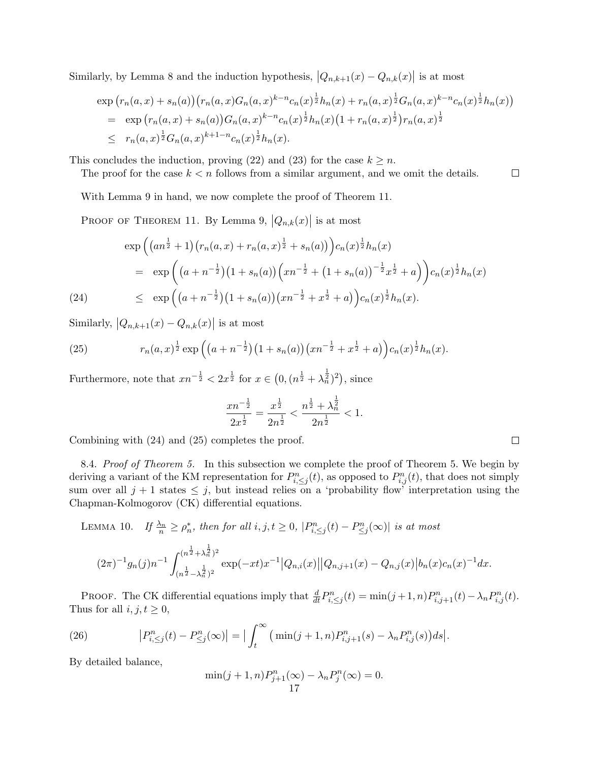Similarly, by Lemma 8 and the induction hypothesis,  $|Q_{n,k+1}(x) - Q_{n,k}(x)|$  is at most

$$
\exp\left(r_n(a,x)+s_n(a)\right)\left(r_n(a,x)G_n(a,x)^{k-n}c_n(x)^{\frac{1}{2}}h_n(x)+r_n(a,x)^{\frac{1}{2}}G_n(a,x)^{k-n}c_n(x)^{\frac{1}{2}}h_n(x)\right) \n= \exp\left(r_n(a,x)+s_n(a)\right)G_n(a,x)^{k-n}c_n(x)^{\frac{1}{2}}h_n(x)\left(1+r_n(a,x)^{\frac{1}{2}}\right)r_n(a,x)^{\frac{1}{2}} \n\leq r_n(a,x)^{\frac{1}{2}}G_n(a,x)^{k+1-n}c_n(x)^{\frac{1}{2}}h_n(x).
$$

This concludes the induction, proving (22) and (23) for the case  $k \geq n$ .

The proof for the case  $k < n$  follows from a similar argument, and we omit the details.

With Lemma 9 in hand, we now complete the proof of Theorem 11.

PROOF OF THEOREM 11. By Lemma 9,  $|Q_{n,k}(x)|$  is at most

$$
\exp\left((an^{\frac{1}{2}}+1)(r_n(a,x)+r_n(a,x)^{\frac{1}{2}}+s_n(a))\right)c_n(x)^{\frac{1}{2}}h_n(x)
$$
\n
$$
= \exp\left((a+n^{-\frac{1}{2}})(1+s_n(a))\left(xn^{-\frac{1}{2}}+(1+s_n(a))\right)^{-\frac{1}{2}}x^{\frac{1}{2}}+a\right)\right)c_n(x)^{\frac{1}{2}}h_n(x)
$$
\n
$$
\leq \exp\left((a+n^{-\frac{1}{2}})(1+s_n(a))(xn^{-\frac{1}{2}}+x^{\frac{1}{2}}+a)\right)c_n(x)^{\frac{1}{2}}h_n(x).
$$

Similarly,  $|Q_{n,k+1}(x) - Q_{n,k}(x)|$  is at most

(25) 
$$
r_n(a,x)^{\frac{1}{2}} \exp\left((a+n^{-\frac{1}{2}})(1+s_n(a))(xn^{-\frac{1}{2}}+x^{\frac{1}{2}}+a)\right)c_n(x)^{\frac{1}{2}}h_n(x).
$$

Furthermore, note that  $xn^{-\frac{1}{2}} < 2x^{\frac{1}{2}}$  for  $x \in (0, (n^{\frac{1}{2}} + \lambda_n^{\frac{1}{2}})^2)$ , since

$$
\frac{x n^{-\frac{1}{2}}}{2x^{\frac{1}{2}}}=\frac{x^{\frac{1}{2}}}{2n^{\frac{1}{2}}}<\frac{n^{\frac{1}{2}}+\lambda_n^{\frac{1}{2}}}{2n^{\frac{1}{2}}}<1.
$$

Combining with (24) and (25) completes the proof.

8.4. *Proof of Theorem 5.* In this subsection we complete the proof of Theorem 5. We begin by deriving a variant of the KM representation for  $P_{i,\leq j}^n(t)$ , as opposed to  $P_{i,j}^n(t)$ , that does not simply sum over all  $j + 1$  states  $\leq j$ , but instead relies on a 'probability flow' interpretation using the Chapman-Kolmogorov (CK) differential equations.

LEMMA 10. If  $\frac{\lambda_n}{n} \ge \rho_n^*$ , then for all  $i, j, t \ge 0$ ,  $|P_{i, \le j}^n(t) - P_{\le j}^n(\infty)|$  is at most

$$
(2\pi)^{-1}g_n(j)n^{-1}\int_{(n^{\frac{1}{2}}+\lambda_n^{\frac{1}{2}})^2}^{(n^{\frac{1}{2}}+\lambda_n^{\frac{1}{2}})^2} \exp(-xt)x^{-1}\big|Q_{n,i}(x)\big|\big|Q_{n,j+1}(x)-Q_{n,j}(x)\big|b_n(x)c_n(x)^{-1}dx.
$$

**PROOF.** The CK differential equations imply that  $\frac{d}{dt}P_{i,\leq j}^n(t) = \min(j+1,n)P_{i,j+1}^n(t) - \lambda_n P_{i,j}^n(t)$ . Thus for all  $i, j, t \geq 0$ ,

(26) 
$$
\left| P_{i, \leq j}^n(t) - P_{\leq j}^n(\infty) \right| = \left| \int_t^\infty \left( \min(j+1, n) P_{i, j+1}^n(s) - \lambda_n P_{i, j}^n(s) \right) ds \right|.
$$

By detailed balance,

$$
\min(j+1,n)P_{j+1}^n(\infty) - \lambda_n P_j^n(\infty) = 0.
$$
  
17

 $\Box$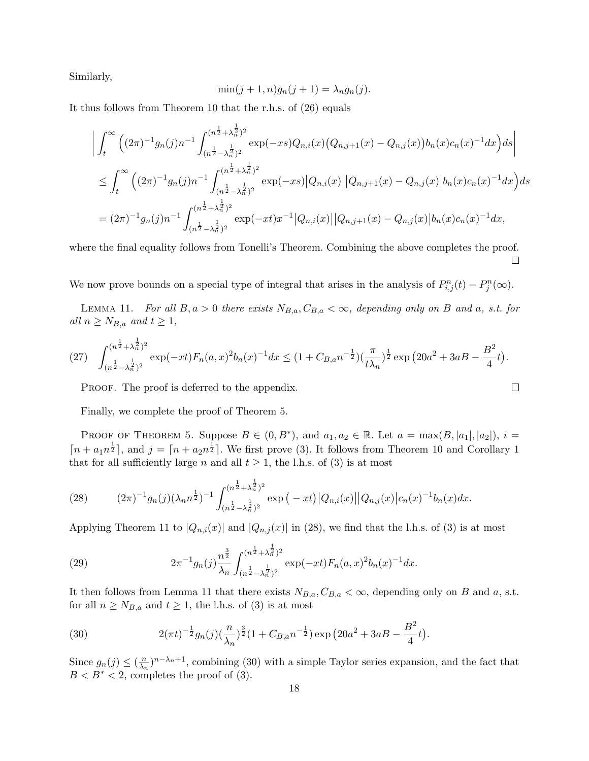Similarly,

$$
\min(j+1,n)g_n(j+1) = \lambda_n g_n(j).
$$

It thus follows from Theorem 10 that the r.h.s. of (26) equals

$$
\left| \int_{t}^{\infty} \left( (2\pi)^{-1} g_n(j) n^{-1} \int_{(n^{\frac{1}{2}} - \lambda_n^{\frac{1}{2}})^2}^{(n^{\frac{1}{2}} + \lambda_n^{\frac{1}{2}})^2} \exp(-xs) Q_{n,i}(x) (Q_{n,j+1}(x) - Q_{n,j}(x)) b_n(x) c_n(x)^{-1} dx \right) ds \right|
$$
  
\n
$$
\leq \int_{t}^{\infty} \left( (2\pi)^{-1} g_n(j) n^{-1} \int_{(n^{\frac{1}{2}} - \lambda_n^{\frac{1}{2}})^2}^{(n^{\frac{1}{2}} + \lambda_n^{\frac{1}{2}})^2} \exp(-xs) |Q_{n,i}(x)| |Q_{n,j+1}(x) - Q_{n,j}(x)| b_n(x) c_n(x)^{-1} dx \right) ds
$$
  
\n
$$
= (2\pi)^{-1} g_n(j) n^{-1} \int_{(n^{\frac{1}{2}} - \lambda_n^{\frac{1}{2}})^2}^{(n^{\frac{1}{2}} + \lambda_n^{\frac{1}{2}})^2} \exp(-xt) x^{-1} |Q_{n,i}(x)| |Q_{n,j+1}(x) - Q_{n,j}(x)| b_n(x) c_n(x)^{-1} dx,
$$

where the final equality follows from Tonelli's Theorem. Combining the above completes the proof.  $\Box$ 

We now prove bounds on a special type of integral that arises in the analysis of  $P_{i,j}^n(t) - P_j^n(\infty)$ .

LEMMA 11. *For all*  $B, a > 0$  *there exists*  $N_{B,a}, C_{B,a} < \infty$ *, depending only on*  $B$  *and*  $a, s.t.$  *for*  $all n \geq N_{B,a}$  and  $t \geq 1$ ,

$$
(27) \quad \int_{(n^{\frac{1}{2}} - \lambda_n^{\frac{1}{2}})^2}^{(n^{\frac{1}{2}} + \lambda_n^{\frac{1}{2}})^2} \exp(-xt) F_n(a, x)^2 b_n(x)^{-1} dx \le (1 + C_{B,a} n^{-\frac{1}{2}}) \left(\frac{\pi}{t\lambda_n}\right)^{\frac{1}{2}} \exp\left(20a^2 + 3aB - \frac{B^2}{4}t\right).
$$

 $\Box$ 

PROOF. The proof is deferred to the appendix.

Finally, we complete the proof of Theorem 5.

PROOF OF THEOREM 5. Suppose  $B \in (0, B^*)$ , and  $a_1, a_2 \in \mathbb{R}$ . Let  $a = \max(B, |a_1|, |a_2|)$ ,  $i =$  $\lceil n + a_1 n^{\frac{1}{2}} \rceil$ , and  $j = \lceil n + a_2 n^{\frac{1}{2}} \rceil$ . We first prove (3). It follows from Theorem 10 and Corollary 1 that for all sufficiently large *n* and all  $t \geq 1$ , the l.h.s. of (3) is at most

(28) 
$$
(2\pi)^{-1}g_n(j)(\lambda_n n^{\frac{1}{2}})^{-1} \int_{(n^{\frac{1}{2}}-\lambda_n^{\frac{1}{2}})^2}^{(n^{\frac{1}{2}}+\lambda_n^{\frac{1}{2}})^2} \exp\big(-xt\big)|Q_{n,i}(x)||Q_{n,j}(x)|c_n(x)^{-1}b_n(x)dx.
$$

Applying Theorem 11 to  $|Q_{n,i}(x)|$  and  $|Q_{n,j}(x)|$  in (28), we find that the l.h.s. of (3) is at most

(29) 
$$
2\pi^{-1}g_n(j)\frac{n^{\frac{3}{2}}}{\lambda_n}\int_{(n^{\frac{1}{2}}-\lambda_n^{\frac{1}{2}})^2}^{(n^{\frac{1}{2}}+\lambda_n^{\frac{1}{2}})^2} \exp(-xt)F_n(a,x)^2b_n(x)^{-1}dx.
$$

It then follows from Lemma 11 that there exists  $N_{B,a}, C_{B,a} < \infty$ , depending only on *B* and *a*, s.t. for all  $n \geq N_{B,a}$  and  $t \geq 1$ , the l.h.s. of (3) is at most

(30) 
$$
2(\pi t)^{-\frac{1}{2}}g_n(j)(\frac{n}{\lambda_n})^{\frac{3}{2}}(1+C_{B,a}n^{-\frac{1}{2}})\exp(20a^2+3aB-\frac{B^2}{4}t).
$$

Since  $g_n(j) \leq (\frac{n}{\lambda_n})$  $\frac{n}{\lambda_n}$ )<sup>*n*- $\lambda_n$ +1</sup>, combining (30) with a simple Taylor series expansion, and the fact that  $B < B^* < 2$ , completes the proof of (3).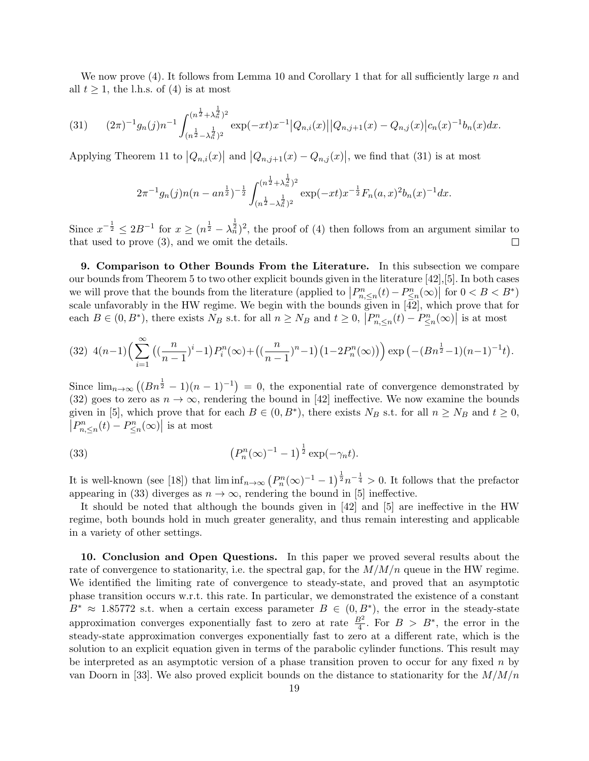We now prove (4). It follows from Lemma 10 and Corollary 1 that for all sufficiently large *n* and all  $t \geq 1$ , the l.h.s. of (4) is at most

$$
(31) \qquad (2\pi)^{-1}g_n(j)n^{-1}\int_{(n^{\frac{1}{2}}-\lambda_n^{\frac{1}{2}})^2}^{(n^{\frac{1}{2}}+\lambda_n^{\frac{1}{2}})^2} \exp(-xt)x^{-1}\big|Q_{n,i}(x)\big|\big|Q_{n,j+1}(x)-Q_{n,j}(x)\big|c_n(x)^{-1}b_n(x)dx.
$$

Applying Theorem 11 to  $|Q_{n,i}(x)|$  and  $|Q_{n,j+1}(x) - Q_{n,j}(x)|$ , we find that (31) is at most

$$
2\pi^{-1}g_n(j)n(n-an^{\frac{1}{2}})^{-\frac{1}{2}}\int_{(n^{\frac{1}{2}}-\lambda_n^{\frac{1}{2}})^2}^{(n^{\frac{1}{2}}+\lambda_n^{\frac{1}{2}})^2} \exp(-xt)x^{-\frac{1}{2}}F_n(a,x)^2b_n(x)^{-1}dx.
$$

Since  $x^{-\frac{1}{2}} \leq 2B^{-1}$  for  $x \geq (n^{\frac{1}{2}} - \lambda_n^{\frac{1}{2}})^2$ , the proof of (4) then follows from an argument similar to that used to prove (3), and we omit the details.  $\Box$ 

**9. Comparison to Other Bounds From the Literature.** In this subsection we compare our bounds from Theorem 5 to two other explicit bounds given in the literature [42],[5]. In both cases we will prove that the bounds from the literature (applied to  $\left|P_{n,\leq n}^n(t) - P_{\leq n}^n(\infty)\right|$  for  $0 < B < B^*$ ) scale unfavorably in the HW regime. We begin with the bounds given in  $[\overrightarrow{42}]$ , which prove that for each  $B \in (0, B^*)$ , there exists  $N_B$  s.t. for all  $n \ge N_B$  and  $t \ge 0$ ,  $|P_{n, \le n}^n(t) - P_{\le n}^n(\infty)|$  is at most

$$
(32) \ \ 4(n-1)\left(\sum_{i=1}^{\infty} \left( \left(\frac{n}{n-1}\right)^i - 1\right) P_i^n(\infty) + \left(\left(\frac{n}{n-1}\right)^{n-1}\right) \left(1 - 2P_n^n(\infty)\right)\right) \exp\left(-\left(Bn^{\frac{1}{2}} - 1\right)(n-1)^{-1}t\right).
$$

Since  $\lim_{n\to\infty} ((Bn^{\frac{1}{2}}-1)(n-1)^{-1})=0$ , the exponential rate of convergence demonstrated by (32) goes to zero as  $n \to \infty$ , rendering the bound in [42] ineffective. We now examine the bounds given in [5], which prove that for each  $B \in (0, B^*)$ , there exists  $N_B$  s.t. for all  $n \ge N_B$  and  $t \ge 0$ ,  $\left| P_{n,\leq n}^n(t) - P_{\leq n}^n(\infty) \right|$  is at most

(33) 
$$
(P_n^n(\infty)^{-1} - 1)^{\frac{1}{2}} \exp(-\gamma_n t).
$$

It is well-known (see [18]) that  $\liminf_{n\to\infty} (P_n^n(\infty)^{-1} - 1)^{\frac{1}{2}} n^{-\frac{1}{4}} > 0$ . It follows that the prefactor appearing in (33) diverges as  $n \to \infty$ , rendering the bound in [5] ineffective.

It should be noted that although the bounds given in [42] and [5] are ineffective in the HW regime, both bounds hold in much greater generality, and thus remain interesting and applicable in a variety of other settings.

**10. Conclusion and Open Questions.** In this paper we proved several results about the rate of convergence to stationarity, i.e. the spectral gap, for the  $M/M/n$  queue in the HW regime. We identified the limiting rate of convergence to steady-state, and proved that an asymptotic phase transition occurs w.r.t. this rate. In particular, we demonstrated the existence of a constant  $B^* \approx 1.85772$  s.t. when a certain excess parameter  $B \in (0, B^*)$ , the error in the steady-state approximation converges exponentially fast to zero at rate  $\frac{B^2}{4}$ . For  $B > B^*$ , the error in the steady-state approximation converges exponentially fast to zero at a different rate, which is the solution to an explicit equation given in terms of the parabolic cylinder functions. This result may be interpreted as an asymptotic version of a phase transition proven to occur for any fixed *n* by van Doorn in [33]. We also proved explicit bounds on the distance to stationarity for the *M/M/n*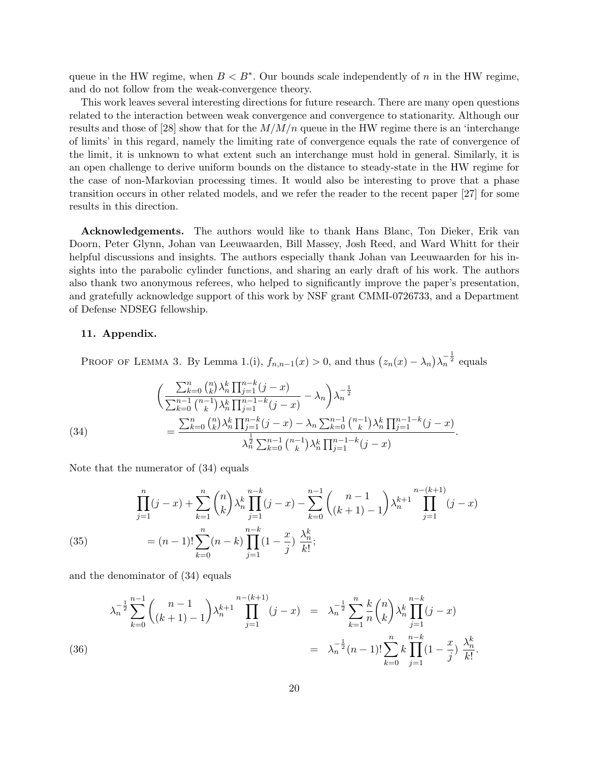queue in the HW regime, when  $B < B^*$ . Our bounds scale independently of *n* in the HW regime, and do not follow from the weak-convergence theory.

This work leaves several interesting directions for future research. There are many open questions related to the interaction between weak convergence and convergence to stationarity. Although our results and those of [28] show that for the  $M/M/n$  queue in the HW regime there is an 'interchange of limits' in this regard, namely the limiting rate of convergence equals the rate of convergence of the limit, it is unknown to what extent such an interchange must hold in general. Similarly, it is an open challenge to derive uniform bounds on the distance to steady-state in the HW regime for the case of non-Markovian processing times. It would also be interesting to prove that a phase transition occurs in other related models, and we refer the reader to the recent paper [27] for some results in this direction.

**Acknowledgements.** The authors would like to thank Hans Blanc, Ton Dieker, Erik van Doorn, Peter Glynn, Johan van Leeuwaarden, Bill Massey, Josh Reed, and Ward Whitt for their helpful discussions and insights. The authors especially thank Johan van Leeuwaarden for his insights into the parabolic cylinder functions, and sharing an early draft of his work. The authors also thank two anonymous referees, who helped to significantly improve the paper's presentation, and gratefully acknowledge support of this work by NSF grant CMMI-0726733, and a Department of Defense NDSEG fellowship.

### **11. Appendix.**

PROOF OF LEMMA 3. By Lemma 1.(i),  $f_{n,n-1}(x) > 0$ , and thus  $(z_n(x) - \lambda_n)\lambda_n^{-\frac{1}{2}}$  equals

(34)  
\n
$$
\begin{aligned}\n&\left(\frac{\sum_{k=0}^{n} {n \choose k} \lambda_n^k \prod_{j=1}^{n-k} (j-x)}{\sum_{k=0}^{n-1} {n-1 \choose k} \lambda_n^k \prod_{j=1}^{n-1-k} (j-x)} - \lambda_n\right) \lambda_n^{-\frac{1}{2}} \\
&= \frac{\sum_{k=0}^{n} {n \choose k} \lambda_n^k \prod_{j=1}^{n-k} (j-x) - \lambda_n \sum_{k=0}^{n-1} {n-1 \choose k} \lambda_n^k \prod_{j=1}^{n-1-k} (j-x)}{\lambda_n^{\frac{1}{2}} \sum_{k=0}^{n-1} {n-1 \choose k} \lambda_n^k \prod_{j=1}^{n-1-k} (j-x)}.\n\end{aligned}
$$

Note that the numerator of (34) equals

(35) 
$$
\prod_{j=1}^{n} (j-x) + \sum_{k=1}^{n} {n \choose k} \lambda_n^k \prod_{j=1}^{n-k} (j-x) - \sum_{k=0}^{n-1} {n-1 \choose (k+1)-1} \lambda_n^{k+1} \prod_{j=1}^{n-(k+1)} (j-x)
$$

$$
= (n-1)! \sum_{k=0}^{n} (n-k) \prod_{j=1}^{n-k} (1 - \frac{x}{j}) \frac{\lambda_n^k}{k!};
$$

and the denominator of (34) equals

$$
\lambda_n^{-\frac{1}{2}} \sum_{k=0}^{n-1} {n-1 \choose (k+1)-1} \lambda_n^{k+1} \prod_{j=1}^{n-(k+1)} (j-x) = \lambda_n^{-\frac{1}{2}} \sum_{k=1}^n \frac{k}{n} {n \choose k} \lambda_n^k \prod_{j=1}^{n-k} (j-x)
$$
  
= 
$$
\lambda_n^{-\frac{1}{2}} (n-1)! \sum_{k=0}^n k \prod_{j=1}^{n-k} (1 - \frac{x}{j}) \frac{\lambda_n^k}{k!}.
$$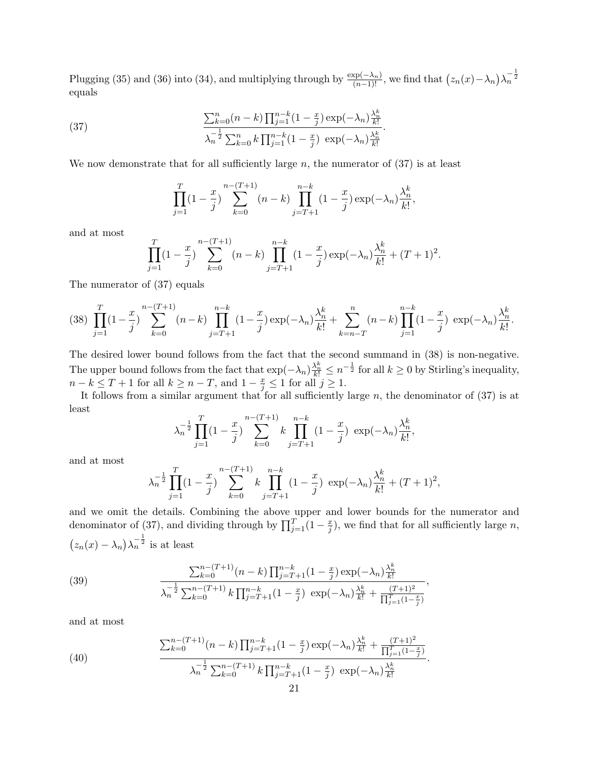Plugging (35) and (36) into (34), and multiplying through by  $\frac{\exp(-\lambda_n)}{(n-1)!}$ , we find that  $(z_n(x) - \lambda_n)\lambda_n^{-\frac{1}{2}}$ equals

*.*

(37) 
$$
\frac{\sum_{k=0}^{n} (n-k) \prod_{j=1}^{n-k} (1 - \frac{x}{j}) \exp(-\lambda_n) \frac{\lambda_n^k}{k!}}{\lambda_n^{-\frac{1}{2}} \sum_{k=0}^{n} k \prod_{j=1}^{n-k} (1 - \frac{x}{j}) \exp(-\lambda_n) \frac{\lambda_n^k}{k!}}
$$

We now demonstrate that for all sufficiently large  $n$ , the numerator of  $(37)$  is at least

$$
\prod_{j=1}^{T} (1 - \frac{x}{j}) \sum_{k=0}^{n-(T+1)} (n-k) \prod_{j=T+1}^{n-k} (1 - \frac{x}{j}) \exp(-\lambda_n) \frac{\lambda_n^k}{k!},
$$

and at most

$$
\prod_{j=1}^{T} (1 - \frac{x}{j}) \sum_{k=0}^{n-(T+1)} (n-k) \prod_{j=T+1}^{n-k} (1 - \frac{x}{j}) \exp(-\lambda_n) \frac{\lambda_n^k}{k!} + (T+1)^2.
$$

The numerator of (37) equals

$$
(38)\ \prod_{j=1}^T(1-\frac{x}{j})\sum_{k=0}^{n-(T+1)}(n-k)\prod_{j=T+1}^{n-k}(1-\frac{x}{j})\exp(-\lambda_n)\frac{\lambda_n^k}{k!}+\sum_{k=n-T}^n(n-k)\prod_{j=1}^{n-k}(1-\frac{x}{j})\ \exp(-\lambda_n)\frac{\lambda_n^k}{k!}.
$$

The desired lower bound follows from the fact that the second summand in (38) is non-negative. The upper bound follows from the fact that  $\exp(-\lambda_n) \frac{\lambda_n^k}{k!} \leq n^{-\frac{1}{2}}$  for all  $k \geq 0$  by Stirling's inequality, *n* − *k* ≤ *T* + 1 for all  $k \ge n - T$ , and  $1 - \frac{x}{j} \le 1$  for all  $j \ge 1$ .

It follows from a similar argument that for all sufficiently large *n*, the denominator of (37) is at least

$$
\lambda_n^{-\frac{1}{2}} \prod_{j=1}^T (1 - \frac{x}{j}) \sum_{k=0}^{n-(T+1)} k \prod_{j=T+1}^{n-k} (1 - \frac{x}{j}) \exp(-\lambda_n) \frac{\lambda_n^k}{k!},
$$

and at most

$$
\lambda_n^{-\frac{1}{2}} \prod_{j=1}^T (1 - \frac{x}{j}) \sum_{k=0}^{n-(T+1)} k \prod_{j=T+1}^{n-k} (1 - \frac{x}{j}) \exp(-\lambda_n) \frac{\lambda_n^k}{k!} + (T+1)^2,
$$

and we omit the details. Combining the above upper and lower bounds for the numerator and denominator of (37), and dividing through by  $\prod_{j=1}^{T} (1 - \frac{x}{j})$  $\frac{x}{j}$ ), we find that for all sufficiently large *n*,  $(z_n(x) - \lambda_n)\lambda_n^{-\frac{1}{2}}$  is at least

(39) 
$$
\frac{\sum_{k=0}^{n-(T+1)}(n-k)\prod_{j=T+1}^{n-k}(1-\frac{x}{j})\exp(-\lambda_n)\frac{\lambda_n^k}{k!}}{\lambda_n^{-\frac{1}{2}}\sum_{k=0}^{n-(T+1)}k\prod_{j=T+1}^{n-k}(1-\frac{x}{j})\exp(-\lambda_n)\frac{\lambda_n^k}{k!}+\frac{(T+1)^2}{\prod_{j=1}^T(1-\frac{x}{j})}},
$$

and at most

(40) 
$$
\frac{\sum_{k=0}^{n-(T+1)} (n-k) \prod_{j=T+1}^{n-k} (1-\frac{x}{j}) \exp(-\lambda_n) \frac{\lambda_n^k}{k!} + \frac{(T+1)^2}{\prod_{j=1}^T (1-\frac{x}{j})}}{\lambda_n^{-\frac{1}{2}} \sum_{k=0}^{n-(T+1)} k \prod_{j=T+1}^{n-k} (1-\frac{x}{j}) \exp(-\lambda_n) \frac{\lambda_n^k}{k!}}
$$

*.*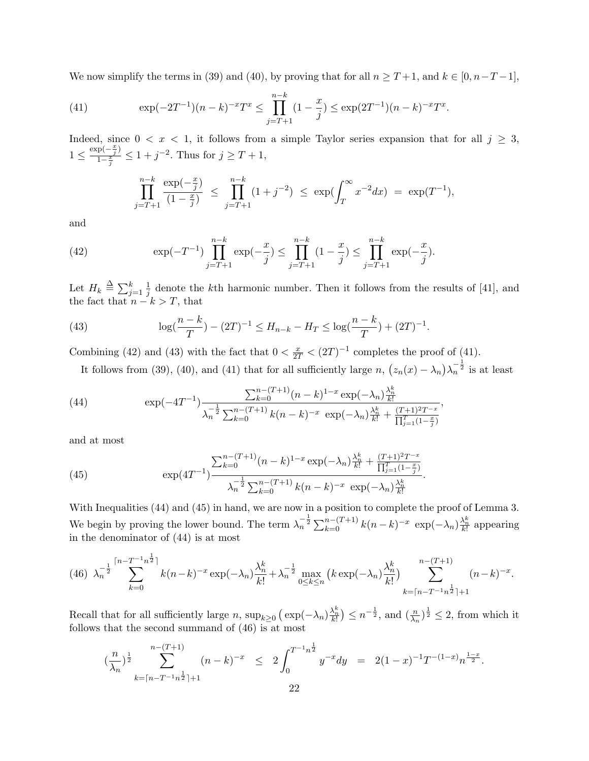We now simplify the terms in (39) and (40), by proving that for all  $n \geq T+1$ , and  $k \in [0, n-T-1]$ ,

(41) 
$$
\exp(-2T^{-1})(n-k)^{-x}T^{x} \leq \prod_{j=T+1}^{n-k} (1-\frac{x}{j}) \leq \exp(2T^{-1})(n-k)^{-x}T^{x}.
$$

Indeed, since  $0 < x < 1$ , it follows from a simple Taylor series expansion that for all  $j \geq 3$ ,  $1 \leq \frac{\exp(-\frac{x}{j})}{1-\frac{x}{j}}$  $\frac{p(-\frac{x}{j})}{1-\frac{x}{j}} \leq 1 + j^{-2}$ . Thus for  $j \geq T+1$ ,

$$
\prod_{j=T+1}^{n-k} \frac{\exp(-\frac{x}{j})}{(1-\frac{x}{j})} \le \prod_{j=T+1}^{n-k} (1+j^{-2}) \le \exp(\int_T^{\infty} x^{-2} dx) = \exp(T^{-1}),
$$

and

(42) 
$$
\exp(-T^{-1})\prod_{j=T+1}^{n-k}\exp(-\frac{x}{j}) \leq \prod_{j=T+1}^{n-k}(1-\frac{x}{j}) \leq \prod_{j=T+1}^{n-k}\exp(-\frac{x}{j}).
$$

Let  $H_k \triangleq \sum_{j=1}^k \frac{1}{j}$  $\frac{1}{j}$  denote the *k*th harmonic number. Then it follows from the results of [41], and the fact that  $n - k > T$ , that

(43) 
$$
\log(\frac{n-k}{T}) - (2T)^{-1} \le H_{n-k} - H_T \le \log(\frac{n-k}{T}) + (2T)^{-1}.
$$

Combining (42) and (43) with the fact that  $0 < \frac{x}{2T} < (2T)^{-1}$  completes the proof of (41).

It follows from (39), (40), and (41) that for all sufficiently large *n*,  $(z_n(x) - \lambda_n)\lambda_n^{-\frac{1}{2}}$  is at least

(44) 
$$
\exp(-4T^{-1}) \frac{\sum_{k=0}^{n-(T+1)} (n-k)^{1-x} \exp(-\lambda_n) \frac{\lambda_n^k}{k!}}{\lambda_n^{-\frac{1}{2}} \sum_{k=0}^{n-(T+1)} k(n-k)^{-x} \exp(-\lambda_n) \frac{\lambda_n^k}{k!} + \frac{(T+1)^2 T^{-x}}{\prod_{j=1}^T (1-\frac{x}{j})}},
$$

and at most

(45) 
$$
\exp(4T^{-1}) \frac{\sum_{k=0}^{n-(T+1)} (n-k)^{1-x} \exp(-\lambda_n) \frac{\lambda_n^k}{k!} + \frac{(T+1)^2 T^{-x}}{\prod_{j=1}^T (1-\frac{x}{j})}}{\lambda_n^{-\frac{1}{2}} \sum_{k=0}^{n-(T+1)} k(n-k)^{-x} \exp(-\lambda_n) \frac{\lambda_n^k}{k!}}
$$

With Inequalities (44) and (45) in hand, we are now in a position to complete the proof of Lemma 3. We begin by proving the lower bound. The term  $\lambda_n^{-\frac{1}{2}} \sum_{k=0}^{n-(T+1)} k(n-k)^{-x} \exp(-\lambda_n) \frac{\lambda_n^k}{k!}$  appearing in the denominator of (44) is at most

*.*

$$
(46)\ \lambda_n^{-\frac{1}{2}}\sum_{k=0}^{\lceil n - T^{-1}n^{\frac{1}{2}} \rceil} k(n-k)^{-x} \exp(-\lambda_n) \frac{\lambda_n^k}{k!} + \lambda_n^{-\frac{1}{2}} \max_{0 \le k \le n} \left( k \exp(-\lambda_n) \frac{\lambda_n^k}{k!} \right) \sum_{k=\lceil n - T^{-1}n^{\frac{1}{2}} \rceil + 1}^{n - (T+1)} (n - k)^{-x}.
$$

Recall that for all sufficiently large  $n$ ,  $\sup_{k\geq 0} (\exp(-\lambda_n)^{\frac{\lambda_n^k}{k!}}) \leq n^{-\frac{1}{2}}$ , and  $(\frac{n}{\lambda_n})^{\frac{1}{2}} \leq 2$ , from which it follows that the second summand of (46) is at most

$$
\left(\frac{n}{\lambda_n}\right)^{\frac{1}{2}} \sum_{k=\lceil n - T^{-1} n^{\frac{1}{2}} \rceil+1}^{n-(T+1)} (n-k)^{-x} \leq 2 \int_0^{T^{-1} n^{\frac{1}{2}}} y^{-x} dy = 2(1-x)^{-1} T^{-(1-x)} n^{\frac{1-x}{2}}.
$$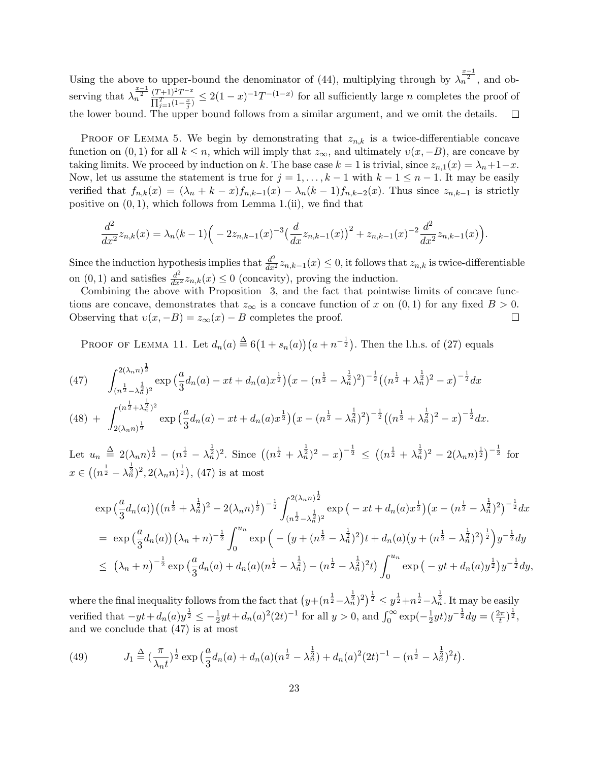Using the above to upper-bound the denominator of (44), multiplying through by  $\lambda_n^{\frac{x-1}{2}}$ , and observing that  $\lambda_n^{\frac{x-1}{2}} \frac{(T+1)^2 T^{-x}}{\prod_{i=1}^T (1-x_i)}$  $\frac{(T+1)^2T^{-x}}{\prod_{j=1}^T (1-\frac{x}{j})} \leq 2(1-x)^{-1}T^{-(1-x)}$  for all sufficiently large *n* completes the proof of the lower bound. The upper bound follows from a similar argument, and we omit the details.  $\Box$ 

PROOF OF LEMMA 5. We begin by demonstrating that  $z_{n,k}$  is a twice-differentiable concave function on  $(0, 1)$  for all  $k \leq n$ , which will imply that  $z_{\infty}$ , and ultimately  $v(x, -B)$ , are concave by taking limits. We proceed by induction on *k*. The base case  $k = 1$  is trivial, since  $z_{n,1}(x) = \lambda_n + 1 - x$ . Now, let us assume the statement is true for  $j = 1, \ldots, k-1$  with  $k-1 \leq n-1$ . It may be easily verified that  $f_{n,k}(x) = (\lambda_n + k - x)f_{n,k-1}(x) - \lambda_n(k-1)f_{n,k-2}(x)$ . Thus since  $z_{n,k-1}$  is strictly positive on (0*,* 1), which follows from Lemma 1.(ii), we find that

$$
\frac{d^2}{dx^2}z_{n,k}(x) = \lambda_n(k-1)\Big(-2z_{n,k-1}(x)^{-3}\Big(\frac{d}{dx}z_{n,k-1}(x)\Big)^2 + z_{n,k-1}(x)^{-2}\frac{d^2}{dx^2}z_{n,k-1}(x)\Big).
$$

Since the induction hypothesis implies that  $\frac{d^2}{dx^2} z_{n,k-1}(x) \leq 0$ , it follows that  $z_{n,k}$  is twice-differentiable on  $(0, 1)$  and satisfies  $\frac{d^2}{dx^2} z_{n,k}(x) \leq 0$  (concavity), proving the induction.

Combining the above with Proposition 3, and the fact that pointwise limits of concave functions are concave, demonstrates that  $z_{\infty}$  is a concave function of *x* on  $(0,1)$  for any fixed  $B > 0$ .<br>Observing that  $v(x, -B) = z_{\infty}(x) - B$  completes the proof. Observing that  $v(x, -B) = z_\infty(x) - B$  completes the proof.

PROOF OF LEMMA 11. Let  $d_n(a) \stackrel{\Delta}{=} 6(1 + s_n(a))(a + n^{-\frac{1}{2}})$ . Then the l.h.s. of (27) equals

(47) 
$$
\int_{(n^{\frac{1}{2}} - \lambda_n^{\frac{1}{2}})^2}^{2(\lambda_n n)^{\frac{1}{2}}} \exp\left(\frac{a}{3}d_n(a) - xt + d_n(a)x^{\frac{1}{2}}\right) \left(x - (n^{\frac{1}{2}} - \lambda_n^{\frac{1}{2}})^2\right)^{-\frac{1}{2}} \left((n^{\frac{1}{2}} + \lambda_n^{\frac{1}{2}})^2 - x\right)^{-\frac{1}{2}} dx
$$

$$
(48) + \int_{2(\lambda_n n)^{\frac{1}{2}}}^{(n^{\frac{1}{2}} + \lambda_n^{\frac{1}{2}})^2} \exp\left(\frac{a}{3}d_n(a) - xt + d_n(a)x^{\frac{1}{2}}\right)\left(x - (n^{\frac{1}{2}} - \lambda_n^{\frac{1}{2}})^2\right)^{-\frac{1}{2}}\left((n^{\frac{1}{2}} + \lambda_n^{\frac{1}{2}})^2 - x\right)^{-\frac{1}{2}}dx.
$$

Let  $u_n \stackrel{\Delta}{=} 2(\lambda_n n)^{\frac{1}{2}} - (n^{\frac{1}{2}} - \lambda_n^{\frac{1}{2}})^2$ . Since  $((n^{\frac{1}{2}} + \lambda_n^{\frac{1}{2}})^2 - x)^{-\frac{1}{2}} \le ((n^{\frac{1}{2}} + \lambda_n^{\frac{1}{2}})^2 - 2(\lambda_n n)^{\frac{1}{2}})^{-\frac{1}{2}}$  for  $x \in \left( (n^{\frac{1}{2}} - \lambda_n^{\frac{1}{2}})^2, 2(\lambda_n n)^{\frac{1}{2}} \right), (47)$  is at most

$$
\exp\left(\frac{a}{3}d_n(a)\right) \left( (n^{\frac{1}{2}} + \lambda_n^{\frac{1}{2}})^2 - 2(\lambda_n n)^{\frac{1}{2}} \right)^{-\frac{1}{2}} \int_{(n^{\frac{1}{2}} - \lambda_n^{\frac{1}{2}})^2}^{2(\lambda_n n)^{\frac{1}{2}}} \exp\left( -xt + d_n(a)x^{\frac{1}{2}} \right) \left( x - (n^{\frac{1}{2}} - \lambda_n^{\frac{1}{2}})^2 \right)^{-\frac{1}{2}} dx
$$
\n
$$
= \exp\left(\frac{a}{3}d_n(a)\right) \left( \lambda_n + n \right)^{-\frac{1}{2}} \int_0^{u_n} \exp\left( -\left( y + (n^{\frac{1}{2}} - \lambda_n^{\frac{1}{2}})^2 \right) t + d_n(a) \left( y + (n^{\frac{1}{2}} - \lambda_n^{\frac{1}{2}})^2 \right)^{\frac{1}{2}} \right) y^{-\frac{1}{2}} dy
$$
\n
$$
\leq (\lambda_n + n)^{-\frac{1}{2}} \exp\left( \frac{a}{3}d_n(a) + d_n(a)(n^{\frac{1}{2}} - \lambda_n^{\frac{1}{2}}) - (n^{\frac{1}{2}} - \lambda_n^{\frac{1}{2}})^2 t \right) \int_0^{u_n} \exp\left( -yt + d_n(a)y^{\frac{1}{2}} \right) y^{-\frac{1}{2}} dy,
$$

where the final inequality follows from the fact that  $\left(y+(n^{\frac{1}{2}}-\lambda_n^{\frac{1}{2}})^2\right)^{\frac{1}{2}} \leq y^{\frac{1}{2}}+n^{\frac{1}{2}}-\lambda_n^{\frac{1}{2}}$ . It may be easily verified that  $-yt + d_n(a)y^{\frac{1}{2}} \leq -\frac{1}{2}yt + d_n(a)^2(2t)^{-1}$  for all  $y > 0$ , and  $\int_0^\infty \exp(-\frac{1}{2}$  $(\frac{1}{2}yt)y^{-\frac{1}{2}}dy = (\frac{2\pi}{t})^{\frac{1}{2}},$ and we conclude that (47) is at most

(49) 
$$
J_1 \stackrel{\Delta}{=} \left(\frac{\pi}{\lambda_n t}\right)^{\frac{1}{2}} \exp\left(\frac{a}{3}d_n(a) + d_n(a)(n^{\frac{1}{2}} - \lambda_n^{\frac{1}{2}}) + d_n(a)^2 (2t)^{-1} - (n^{\frac{1}{2}} - \lambda_n^{\frac{1}{2}})^2 t\right).
$$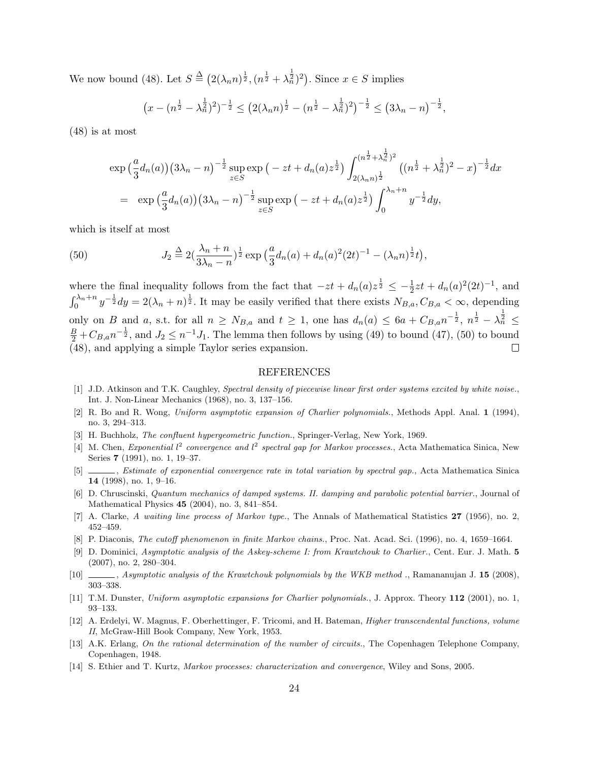We now bound (48). Let  $S \triangleq (2(\lambda_n n)^{\frac{1}{2}}, (n^{\frac{1}{2}} + \lambda_n^{\frac{1}{2}})^2)$ . Since  $x \in S$  implies

$$
\left(x - (n^{\frac{1}{2}} - \lambda_n^{\frac{1}{2}})^2\right)^{-\frac{1}{2}} \le \left(2(\lambda_n n)^{\frac{1}{2}} - (n^{\frac{1}{2}} - \lambda_n^{\frac{1}{2}})^2\right)^{-\frac{1}{2}} \le \left(3\lambda_n - n\right)^{-\frac{1}{2}},
$$

(48) is at most

$$
\exp\left(\frac{a}{3}d_n(a)\right)\left(3\lambda_n - n\right)^{-\frac{1}{2}} \sup_{z \in S} \exp\left(-zt + d_n(a)z^{\frac{1}{2}}\right) \int_{2(\lambda_n n)^{\frac{1}{2}}}^{(n^{\frac{1}{2}} + \lambda_n^{\frac{1}{2}})^2} \left((n^{\frac{1}{2}} + \lambda_n^{\frac{1}{2}})^2 - x\right)^{-\frac{1}{2}} dx
$$
  
\n
$$
= \exp\left(\frac{a}{3}d_n(a)\right)\left(3\lambda_n - n\right)^{-\frac{1}{2}} \sup_{z \in S} \exp\left(-zt + d_n(a)z^{\frac{1}{2}}\right) \int_0^{\lambda_n + n} y^{-\frac{1}{2}} dy,
$$

which is itself at most

(50) 
$$
J_2 \stackrel{\Delta}{=} 2(\frac{\lambda_n + n}{3\lambda_n - n})^{\frac{1}{2}} \exp\left(\frac{a}{3}d_n(a) + d_n(a)^2 (2t)^{-1} - (\lambda_n n)^{\frac{1}{2}}t\right),
$$

where the final inequality follows from the fact that  $-zt + d_n(a)z^{\frac{1}{2}} \leq -\frac{1}{2}zt + d_n(a)^2(2t)^{-1}$ , and  $\int_0^{\lambda_n+n} y^{-\frac{1}{2}} dy = 2(\lambda_n+n)^{\frac{1}{2}}$ . It may be easily verified that there exists  $N_{B,a}, C_{B,a} < \infty$ , depending only on B and a, s.t. for all  $n \geq N_{B,a}$  and  $t \geq 1$ , one has  $d_n(a) \leq 6a + C_{B,a}n^{-\frac{1}{2}}, n^{\frac{1}{2}} - \lambda_n^{\frac{1}{2}} \leq$  $\frac{B}{2}$  +  $C_{B,a}n^{-\frac{1}{2}}$ , and  $J_2 \leq n^{-1}J_1$ . The lemma then follows by using (49) to bound (47), (50) to bound (48), and applying a simple Taylor series expansion.  $\Box$ 

#### **REFERENCES**

- [1] J.D. Atkinson and T.K. Caughley, *Spectral density of piecewise linear first order systems excited by white noise.*, Int. J. Non-Linear Mechanics (1968), no. 3, 137–156.
- [2] R. Bo and R. Wong, *Uniform asymptotic expansion of Charlier polynomials.*, Methods Appl. Anal. **1** (1994), no. 3, 294–313.
- [3] H. Buchholz, *The confluent hypergeometric function.*, Springer-Verlag, New York, 1969.
- [4] M. Chen, *Exponential l* 2 *convergence and l* 2 *spectral gap for Markov processes.*, Acta Mathematica Sinica, New Series **7** (1991), no. 1, 19–37.
- [5] , *Estimate of exponential convergence rate in total variation by spectral gap.*, Acta Mathematica Sinica **14** (1998), no. 1, 9–16.
- [6] D. Chruscinski, *Quantum mechanics of damped systems. II. damping and parabolic potential barrier.*, Journal of Mathematical Physics **45** (2004), no. 3, 841–854.
- [7] A. Clarke, *A waiting line process of Markov type.*, The Annals of Mathematical Statistics **27** (1956), no. 2, 452–459.
- [8] P. Diaconis, *The cutoff phenomenon in finite Markov chains.*, Proc. Nat. Acad. Sci. (1996), no. 4, 1659–1664.
- [9] D. Dominici, *Asymptotic analysis of the Askey-scheme I: from Krawtchouk to Charlier.*, Cent. Eur. J. Math. **5** (2007), no. 2, 280–304.
- [10] , *Asymptotic analysis of the Krawtchouk polynomials by the WKB method .*, Ramananujan J. **15** (2008), 303–338.
- [11] T.M. Dunster, *Uniform asymptotic expansions for Charlier polynomials.*, J. Approx. Theory **112** (2001), no. 1, 93–133.
- [12] A. Erdelyi, W. Magnus, F. Oberhettinger, F. Tricomi, and H. Bateman, *Higher transcendental functions, volume II*, McGraw-Hill Book Company, New York, 1953.
- [13] A.K. Erlang, *On the rational determination of the number of circuits.*, The Copenhagen Telephone Company, Copenhagen, 1948.
- [14] S. Ethier and T. Kurtz, *Markov processes: characterization and convergence*, Wiley and Sons, 2005.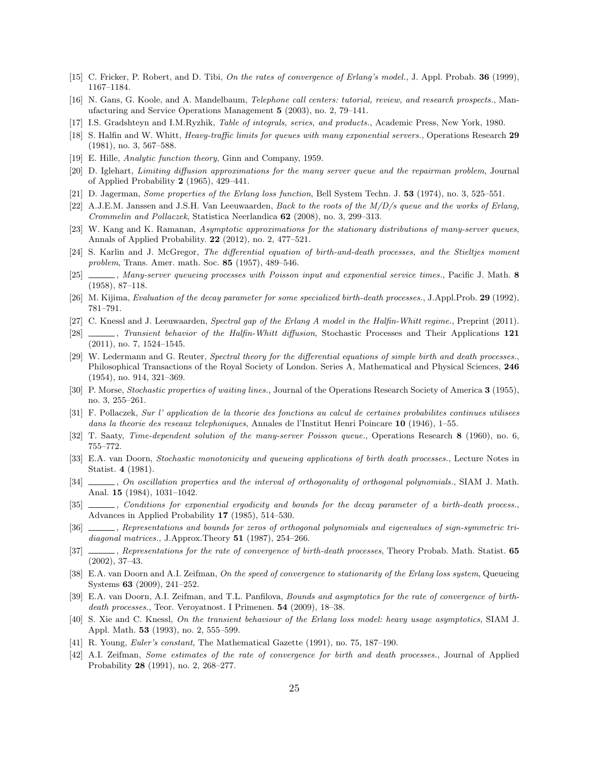- [15] C. Fricker, P. Robert, and D. Tibi, *On the rates of convergence of Erlang's model.*, J. Appl. Probab. **36** (1999), 1167–1184.
- [16] N. Gans, G. Koole, and A. Mandelbaum, *Telephone call centers: tutorial, review, and research prospects.*, Manufacturing and Service Operations Management **5** (2003), no. 2, 79–141.
- [17] I.S. Gradshteyn and I.M.Ryzhik, *Table of integrals, series, and products.*, Academic Press, New York, 1980.
- [18] S. Halfin and W. Whitt, *Heavy-traffic limits for queues with many exponential servers.*, Operations Research **29** (1981), no. 3, 567–588.
- [19] E. Hille, *Analytic function theory*, Ginn and Company, 1959.
- [20] D. Iglehart, *Limiting diffusion approximations for the many server queue and the repairman problem*, Journal of Applied Probability **2** (1965), 429–441.
- [21] D. Jagerman, *Some properties of the Erlang loss function*, Bell System Techn. J. **53** (1974), no. 3, 525–551.
- [22] A.J.E.M. Janssen and J.S.H. Van Leeuwaarden, *Back to the roots of the M/D/s queue and the works of Erlang, Crommelin and Pollaczek*, Statistica Neerlandica **62** (2008), no. 3, 299–313.
- [23] W. Kang and K. Ramanan, *Asymptotic approximations for the stationary distributions of many-server queues*, Annals of Applied Probability. **22** (2012), no. 2, 477–521.
- [24] S. Karlin and J. McGregor, *The differential equation of birth-and-death processes, and the Stieltjes moment problem*, Trans. Amer. math. Soc. **85** (1957), 489–546.
- [25] , *Many-server queueing processes with Poisson input and exponential service times.*, Pacific J. Math. **8** (1958), 87–118.
- [26] M. Kijima, *Evaluation of the decay parameter for some specialized birth-death processes.*, J.Appl.Prob. **29** (1992), 781–791.
- [27] C. Knessl and J. Leeuwaarden, *Spectral gap of the Erlang A model in the Halfin-Whitt regime.*, Preprint (2011).
- [28] , *Transient behavior of the Halfin-Whitt diffusion*, Stochastic Processes and Their Applications **121** (2011), no. 7, 1524–1545.
- [29] W. Ledermann and G. Reuter, *Spectral theory for the differential equations of simple birth and death processes.*, Philosophical Transactions of the Royal Society of London. Series A, Mathematical and Physical Sciences, **246** (1954), no. 914, 321–369.
- [30] P. Morse, *Stochastic properties of waiting lines.*, Journal of the Operations Research Society of America **3** (1955), no. 3, 255–261.
- [31] F. Pollaczek, *Sur l' application de la theorie des fonctions au calcul de certaines probabilites continues utilisees dans la theorie des reseaux telephoniques*, Annales de l'Institut Henri Poincare **10** (1946), 1–55.
- [32] T. Saaty, *Time-dependent solution of the many-server Poisson queue.*, Operations Research **8** (1960), no. 6, 755–772.
- [33] E.A. van Doorn, *Stochastic monotonicity and queueing applications of birth death processes.*, Lecture Notes in Statist. **4** (1981).
- [34] , *On oscillation properties and the interval of orthogonality of orthogonal polynomials.*, SIAM J. Math. Anal. **15** (1984), 1031–1042.
- [35] , *Conditions for exponential ergodicity and bounds for the decay parameter of a birth-death process.*, Advances in Applied Probability **17** (1985), 514–530.
- [36] , *Representations and bounds for zeros of orthogonal polynomials and eigenvalues of sign-symmetric tridiagonal matrices.*, J.Approx.Theory **51** (1987), 254–266.
- [37] , *Representations for the rate of convergence of birth-death processes*, Theory Probab. Math. Statist. **65** (2002), 37–43.
- [38] E.A. van Doorn and A.I. Zeifman, *On the speed of convergence to stationarity of the Erlang loss system*, Queueing Systems **63** (2009), 241–252.
- [39] E.A. van Doorn, A.I. Zeifman, and T.L. Panfilova, *Bounds and asymptotics for the rate of convergence of birthdeath processes.*, Teor. Veroyatnost. I Primenen. **54** (2009), 18–38.
- [40] S. Xie and C. Knessl, *On the transient behaviour of the Erlang loss model: heavy usage asymptotics*, SIAM J. Appl. Math. **53** (1993), no. 2, 555–599.
- [41] R. Young, *Euler's constant*, The Mathematical Gazette (1991), no. 75, 187–190.
- [42] A.I. Zeifman, *Some estimates of the rate of convergence for birth and death processes.*, Journal of Applied Probability **28** (1991), no. 2, 268–277.